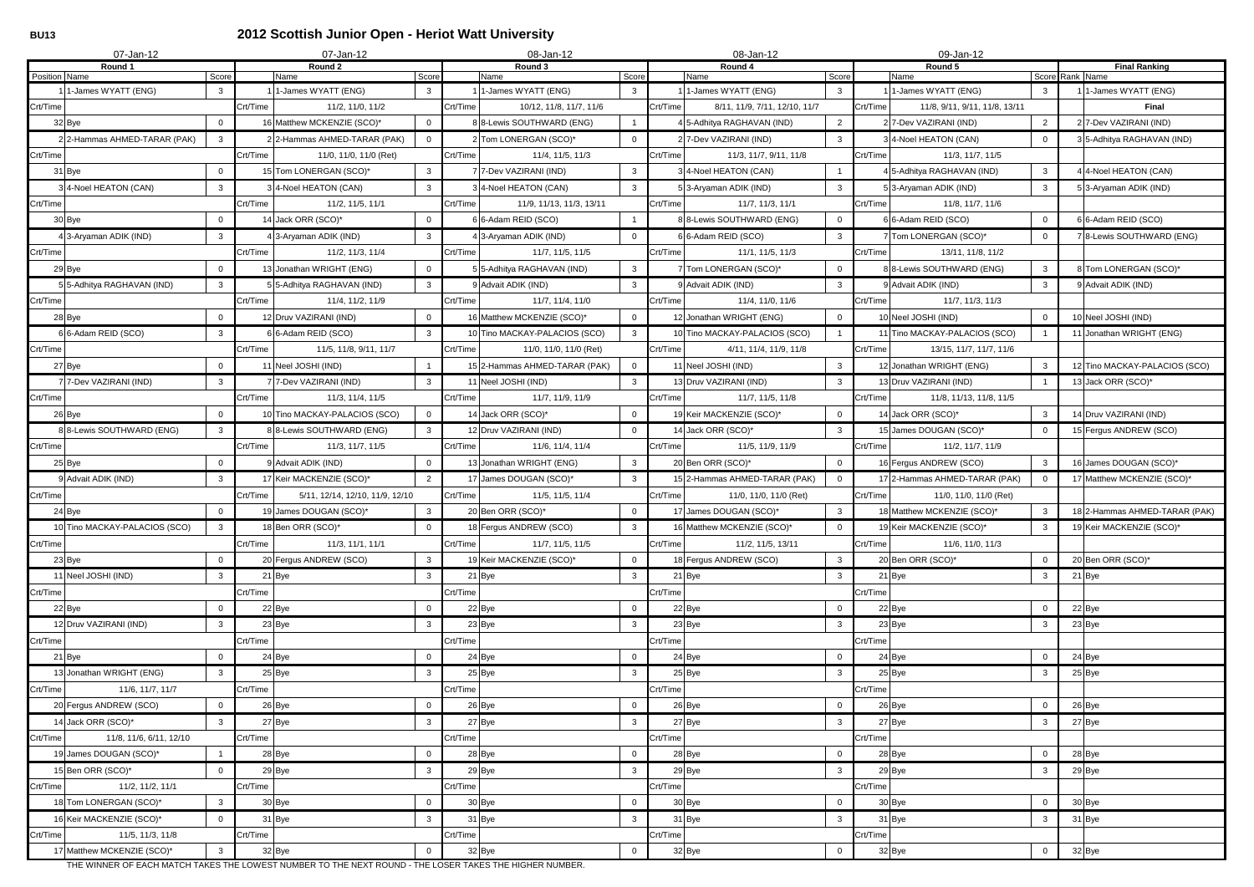# **BU13 2012 Scottish Junior Open - Heriot Watt University**

| 07-Jan-12                           |                |          | 07-Jan-12                                                                                               |          | 08-Jan-12                                     |          | 08-Jan-12                                       | 09-Jan-12                          |                                           |                |          |                               |
|-------------------------------------|----------------|----------|---------------------------------------------------------------------------------------------------------|----------|-----------------------------------------------|----------|-------------------------------------------------|------------------------------------|-------------------------------------------|----------------|----------|-------------------------------|
| Round 1<br>Position Name            | Score          |          | Round 2<br>Name<br>Score                                                                                |          | Round 3<br>Name<br>Score                      |          | Round 4<br>Name<br>Score                        | Round 5<br>Score Rank Name<br>Name |                                           |                |          | <b>Final Ranking</b>          |
| 1 1-James WYATT (ENG)               | $\mathbf{3}$   |          | 1-James WYATT (ENG)<br>$\mathbf{3}$                                                                     |          | 1-James WYATT (ENG)<br>3                      |          | I 1-James WYATT (ENG)<br>$\mathbf{3}$           |                                    | 1-James WYATT (ENG)<br>-3                 |                |          | 1 1-James WYATT (ENG)         |
| Crt/Time                            |                | Crt/Time | 11/2, 11/0, 11/2                                                                                        | Crt/Time | 10/12, 11/8, 11/7, 11/6                       | Crt/Time | 8/11, 11/9, 7/11, 12/10, 11/7                   | Crt/Time                           | 11/8, 9/11, 9/11, 11/8, 13/11             |                |          | Final                         |
| 32 Bye                              | $\overline{0}$ |          | 16 Matthew MCKENZIE (SCO)*<br>$\mathbf{0}$                                                              |          | 88-Lewis SOUTHWARD (ENG)                      |          | $\overline{2}$<br>4 5-Adhitya RAGHAVAN (IND)    |                                    | 2 7-Dev VAZIRANI (IND)                    | $\overline{2}$ |          | 2 7-Dev VAZIRANI (IND)        |
| 2 2-Hammas AHMED-TARAR (PAK)        | $\mathbf{3}$   |          | 2 2-Hammas AHMED-TARAR (PAK)<br>$\overline{0}$                                                          |          | 2 Tom LONERGAN (SCO)*<br>$\Omega$             |          | $\mathbf{3}$<br>2 7-Dev VAZIRANI (IND)          |                                    | 3 4-Noel HEATON (CAN)<br>$\Omega$         |                |          | 3 5-Adhitya RAGHAVAN (IND)    |
| Crt/Time                            |                | Crt/Time | 11/0, 11/0, 11/0 (Ret)                                                                                  | Crt/Time | 11/4, 11/5, 11/3                              | Crt/Time | 11/3, 11/7, 9/11, 11/8                          | Crt/Time                           | 11/3, 11/7, 11/5                          |                |          |                               |
| 31 Bye                              | $\mathbf 0$    |          | 15 Tom LONERGAN (SCO)*<br>$\mathbf{3}$                                                                  |          | 7 7-Dev VAZIRANI (IND)<br>3                   |          | 3 4-Noel HEATON (CAN)                           |                                    | 4 5-Adhitya RAGHAVAN (IND)<br>3           |                |          | 4 4-Noel HEATON (CAN)         |
| 3 4-Noel HEATON (CAN)               | 3 <sup>1</sup> |          | 3 4-Noel HEATON (CAN)<br>$\mathbf{3}$                                                                   |          | 3 4-Noel HEATON (CAN)<br>3                    |          | 5 3-Aryaman ADIK (IND)<br>$\mathbf{3}$          |                                    | 53-Aryaman ADIK (IND)<br>3                |                |          | 5 3-Aryaman ADIK (IND)        |
| Crt/Time                            |                | Crt/Time | 11/2, 11/5, 11/1                                                                                        | Crt/Time | 11/9, 11/13, 11/3, 13/11                      | Crt/Time | 11/7, 11/3, 11/1                                | Crt/Time                           | 11/8, 11/7, 11/6                          |                |          |                               |
| 30 Bye                              | $\mathbf 0$    |          | 14 Jack ORR (SCO)*<br>$\Omega$                                                                          |          | 6 6-Adam REID (SCO)                           |          | 88-Lewis SOUTHWARD (ENG)<br>$\Omega$            |                                    | 6 6-Adam REID (SCO)<br>$\Omega$           |                |          | 6 6-Adam REID (SCO)           |
| 4 3-Aryaman ADIK (IND)              | $\mathbf{3}$   |          | 4 3-Aryaman ADIK (IND)<br>3                                                                             |          | 4 3-Aryaman ADIK (IND)<br>$\Omega$            |          | 6 6-Adam REID (SCO)<br>$\mathbf{3}$             |                                    | 7 Tom LONERGAN (SCO)*<br>$\Omega$         |                |          | 7 8-Lewis SOUTHWARD (ENG)     |
| Crt/Time                            |                | Crt/Time | 11/2, 11/3, 11/4                                                                                        | Crt/Time | 11/7, 11/5, 11/5                              | Crt/Time | 11/1, 11/5, 11/3                                | Crt/Time                           | 13/11, 11/8, 11/2                         |                |          |                               |
| 29 Bye                              | $\mathbf 0$    |          | 13 Jonathan WRIGHT (ENG)<br>$\Omega$                                                                    |          | 5 5-Adhitya RAGHAVAN (IND)<br>$\mathbf{3}$    |          | 7 Tom LONERGAN (SCO)*<br>$\overline{0}$         |                                    | 8 8-Lewis SOUTHWARD (ENG)<br>3            |                |          | 8 Tom LONERGAN (SCO)*         |
| 5 5-Adhitya RAGHAVAN (IND)          | $\mathbf{3}$   |          | 3<br>5 5-Adhitya RAGHAVAN (IND)                                                                         |          | 9 Advait ADIK (IND)<br>3                      |          | $\mathbf{3}$<br>9 Advait ADIK (IND)             |                                    | 9 Advait ADIK (IND)<br>3                  |                |          | 9 Advait ADIK (IND)           |
| Crt/Time                            |                | Crt/Time | 11/4, 11/2, 11/9                                                                                        | Crt/Time | 11/7, 11/4, 11/0                              | Crt/Time | 11/4, 11/0, 11/6                                | Crt/Time                           | 11/7, 11/3, 11/3                          |                |          |                               |
| 28 Bye                              | $\overline{0}$ |          | 12 Druv VAZIRANI (IND)<br>$\Omega$                                                                      |          | 16 Matthew MCKENZIE (SCO)*<br>$\Omega$        |          | 12 Jonathan WRIGHT (ENG)<br>$\overline{0}$      |                                    | 10 Neel JOSHI (IND)<br>$\Omega$           |                |          | 10 Neel JOSHI (IND)           |
| 6 6-Adam REID (SCO)                 | 3              |          | 6 6-Adam REID (SCO)<br>3                                                                                |          | 10 Tino MACKAY-PALACIOS (SCO)<br>3            |          | 10 Tino MACKAY-PALACIOS (SCO)                   |                                    | 11 Tino MACKAY-PALACIOS (SCO)             |                |          | 11 Jonathan WRIGHT (ENG)      |
| Crt/Time                            |                | Crt/Time | 11/5, 11/8, 9/11, 11/7                                                                                  | Crt/Time | 11/0, 11/0, 11/0 (Ret)                        | Crt/Time | 4/11, 11/4, 11/9, 11/8                          | Crt/Time                           | 13/15, 11/7, 11/7, 11/6                   |                |          |                               |
| 27 Bye                              | $\mathbf 0$    |          | 11 Neel JOSHI (IND)                                                                                     |          | 15 2-Hammas AHMED-TARAR (PAK)<br>$\mathbf{0}$ |          | 11 Neel JOSHI (IND)<br>$\mathbf{3}$             |                                    | 12 Jonathan WRIGHT (ENG)                  | 3              |          | 12 Tino MACKAY-PALACIOS (SCO) |
| 7 7-Dev VAZIRANI (IND)              | $\mathbf{3}$   |          | 7 7-Dev VAZIRANI (IND)<br>$\mathbf{3}$                                                                  |          | 11 Neel JOSHI (IND)<br>3                      |          | 13 Druv VAZIRANI (IND)<br>$\mathbf{3}$          |                                    | 13 Druv VAZIRANI (IND)                    |                |          | 13 Jack ORR (SCO)*            |
| Crt/Time                            |                | Crt/Time | 11/3, 11/4, 11/5                                                                                        | Crt/Time | 11/7, 11/9, 11/9                              | Crt/Time | 11/7, 11/5, 11/8                                | Crt/Time                           | 11/8, 11/13, 11/8, 11/5                   |                |          |                               |
| 26 Bye                              | $\overline{0}$ |          | 10 Tino MACKAY-PALACIOS (SCO)<br>$\overline{0}$                                                         |          | 14 Jack ORR (SCO)*<br>$\overline{0}$          |          | 19 Keir MACKENZIE (SCO)*<br>$\overline{0}$      |                                    | 14 Jack ORR (SCO)*<br>3                   |                |          | 14 Druv VAZIRANI (IND)        |
| 8 8-Lewis SOUTHWARD (ENG)           | $\mathbf{3}$   |          | 8 8-Lewis SOUTHWARD (ENG)<br>$\mathbf{3}$                                                               |          | 12 Druv VAZIRANI (IND)<br>$\mathbf{0}$        |          | 14 Jack ORR (SCO)*<br>$\mathbf{3}$              |                                    | 15 James DOUGAN (SCO)*<br>$\Omega$        |                |          | 15 Fergus ANDREW (SCO)        |
| Crt/Time                            |                | Crt/Time | 11/3, 11/7, 11/5                                                                                        | Crt/Time | 11/6, 11/4, 11/4                              | Crt/Time | 11/5, 11/9, 11/9                                | Crt/Time                           | 11/2, 11/7, 11/9                          |                |          |                               |
| 25 Bye                              | $\mathbf 0$    |          | 9 Advait ADIK (IND)<br>$\mathbf{0}$                                                                     |          | 3<br>13 Jonathan WRIGHT (ENG)                 |          | 20 Ben ORR (SCO)*<br>$\overline{0}$             |                                    | 16 Fergus ANDREW (SCO)<br>3               |                |          | 16 James DOUGAN (SCO)*        |
| 9 Advait ADIK (IND)                 | 3              |          | 17 Keir MACKENZIE (SCO)*<br>2                                                                           |          | 17 James DOUGAN (SCO)*<br>3                   |          | 15 2-Hammas AHMED-TARAR (PAK)<br>$\overline{0}$ |                                    | 17 2-Hammas AHMED-TARAR (PAK)<br>$\Omega$ |                |          | 17 Matthew MCKENZIE (SCO)*    |
| Crt/Time                            |                | Crt/Time | 5/11, 12/14, 12/10, 11/9, 12/10                                                                         | Crt/Time | 11/5, 11/5, 11/4                              | Crt/Time | 11/0, 11/0, 11/0 (Ret)                          | Crt/Time                           | 11/0, 11/0, 11/0 (Ret)                    |                |          |                               |
| 24 Bye                              | $\mathbf 0$    |          | 19 James DOUGAN (SCO)*<br>3                                                                             |          | 20 Ben ORR (SCO)*<br>$\Omega$                 |          | 17 James DOUGAN (SCO)*<br>$\mathbf{3}$          |                                    | 18 Matthew MCKENZIE (SCO)*                | 3              |          | 18 2-Hammas AHMED-TARAR (PAK) |
| 10 Tino MACKAY-PALACIOS (SCO)       | $\mathbf{3}$   |          | 18 Ben ORR (SCO)*<br>$\overline{0}$                                                                     |          | 18 Fergus ANDREW (SCO)<br>$\mathbf{3}$        |          | 16 Matthew MCKENZIE (SCO)*<br>$\overline{0}$    |                                    | 19 Keir MACKENZIE (SCO)*<br>$\mathbf{3}$  |                |          | 19 Keir MACKENZIE (SCO)*      |
| Crt/Time                            |                | Crt/Time | 11/3, 11/1, 11/1                                                                                        | Crt/Time | 11/7, 11/5, 11/5                              | Crt/Time | 11/2, 11/5, 13/11                               | Crt/Time                           | 11/6, 11/0, 11/3                          |                |          |                               |
| 23 Bye                              | $\overline{0}$ |          | 20 Fergus ANDREW (SCO)<br>$\mathbf{3}$                                                                  |          | 19 Keir MACKENZIE (SCO)*<br>$\overline{0}$    |          | $\mathbf{3}$<br>18 Fergus ANDREW (SCO)          |                                    | 20 Ben ORR (SCO)*<br>$\Omega$             |                |          | 20 Ben ORR (SCO)*             |
| 11 Neel JOSHI (IND)                 | $\mathbf{3}$   |          | 21 Bye<br>$\mathbf{3}$                                                                                  |          | 21 Bye<br>3                                   |          | 21 Bye<br>$\mathbf{3}$                          | 21 Bye                             | 3                                         |                | $21$ Bye |                               |
| Crt/Time                            |                | Crt/Time |                                                                                                         | Crt/Time |                                               | Crt/Time |                                                 | Crt/Time                           |                                           |                |          |                               |
| 22 Bye                              | $\overline{0}$ |          | 22 Bye<br>$\mathbf 0$                                                                                   |          | 22 Bye<br>$\mathbf 0$                         |          | 22 Bye<br>$\overline{0}$                        | 22 Bye                             | $\Omega$                                  |                | 22 Bye   |                               |
| 12 Druv VAZIRANI (IND)              | 3              |          | 23 Bye<br>$\mathbf{3}$                                                                                  |          | 23 Bye<br>3                                   |          | 23 Bye<br>$\mathbf{3}$                          | 23 Bye                             | 3                                         |                | 23 Bye   |                               |
| Crt/Time                            |                | Crt/Time |                                                                                                         | Crt/Time |                                               | Crt/Time |                                                 | Crt/Time                           |                                           |                |          |                               |
| 21 Bye                              | $\mathbf 0$    |          | 24 Bye<br>$\mathbf 0$                                                                                   |          | 24 Bye<br>$\Omega$                            |          | 24 Bye<br>$\mathbf 0$                           | 24 Bye                             | $\Omega$                                  |                | 24 Bye   |                               |
| 13 Jonathan WRIGHT (ENG)            | $\mathbf{3}$   |          | 25 Bye<br>$\mathbf{3}$                                                                                  |          | 25 Bye<br>3                                   |          | 25 Bye<br>$\mathbf{3}$                          | 25 Bye                             | -3                                        |                | 25 Bye   |                               |
| Crt/Time<br>11/6, 11/7, 11/7        |                | Crt/Time |                                                                                                         | Crt/Time |                                               | Crt/Time |                                                 | Crt/Time                           |                                           |                |          |                               |
| 20 Fergus ANDREW (SCO)              | $\mathbf 0$    |          | 26 Bye<br>0                                                                                             |          | 26 Bye<br>$\mathbf 0$                         |          | 26 Bye<br>$\overline{0}$                        | 26 Bye                             | $\Omega$                                  |                | 26 Bye   |                               |
| 14 Jack ORR (SCO)*                  | $\mathbf{3}$   |          | 27 Bye<br>3                                                                                             |          | 27 Bye<br>3                                   |          | 27 Bye<br>$\mathbf{3}$                          | 27 Bye                             | 3                                         |                | 27 Bye   |                               |
| 11/8, 11/6, 6/11, 12/10<br>Crt/Time |                | Crt/Time |                                                                                                         | Crt/Time |                                               | Crt/Time |                                                 | Crt/Time                           |                                           |                |          |                               |
| 19 James DOUGAN (SCO)*              |                |          | 28 Bye<br>$\mathbf 0$                                                                                   |          | 28 Bye<br>0                                   |          | 28 Bye<br>$\overline{0}$                        | 28 Bye                             | $\Omega$                                  |                | 28 Bye   |                               |
| 15 Ben ORR (SCO)*                   | $\Omega$       |          | 29 Bye<br>$\mathbf{3}$                                                                                  |          | 29 Bye<br>3                                   |          | 29 Bye<br>$\mathbf{3}$                          | 29 Bye                             | 3                                         |                | 29 Bye   |                               |
| Crt/Time<br>11/2, 11/2, 11/1        |                | Crt/Time |                                                                                                         | Crt/Time |                                               | Crt/Time |                                                 | Crt/Time                           |                                           |                |          |                               |
| 18 Tom LONERGAN (SCO)*              | $\mathbf{3}$   |          | 30 Bye<br>$\mathbf 0$                                                                                   |          | 30 Bye<br>$\Omega$                            |          | 30 Bye<br>$\overline{\mathbf{0}}$               | 30 Bye                             | $\Omega$                                  |                | 30 Bye   |                               |
| 16 Keir MACKENZIE (SCO)*            | $\Omega$       |          | 31 Bye<br>$\mathbf{3}$                                                                                  |          | 31 Bye<br>3                                   |          | 31 Bye<br>$\mathbf{3}$                          | 31 Bye                             | -3                                        |                | 31 Bye   |                               |
| Crt/Time<br>11/5, 11/3, 11/8        |                | Crt/Time |                                                                                                         | Crt/Time |                                               | Crt/Time |                                                 | Crt/Time                           |                                           |                |          |                               |
| 17 Matthew MCKENZIE (SCO)*          | $\mathbf{3}$   |          | 32 Bye<br>$\mathbf{0}$                                                                                  |          | 32 Bye<br>$\mathbf{0}$                        |          | 32 Bye<br>$\overline{0}$                        | 32 Bye                             |                                           | $\mathbf{0}$   | 32 Bye   |                               |
|                                     |                |          | THE WINNER OF EACH MATCH TAKES THE LOWEST NUMBER TO THE NEXT ROUND - THE LOSER TAKES THE HIGHER NUMBER. |          |                                               |          |                                                 |                                    |                                           |                |          |                               |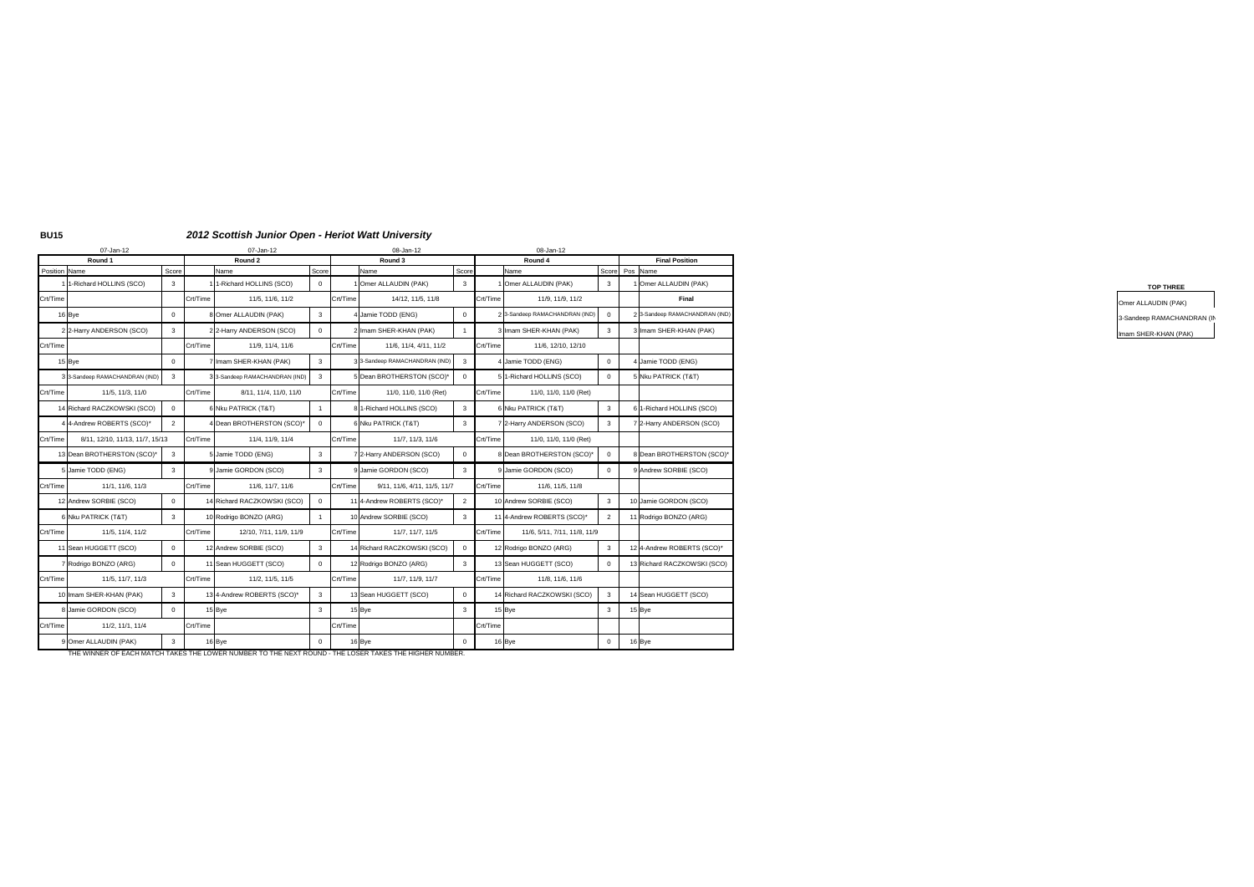### **BU15** *2012 Scottish Junior Open - Heriot Watt University*

| 07-Jan-12                                   |                | 07-Jan-12 |                              |                | 08-Jan-12                                |          | 08-Jan-12                      |                |                                |
|---------------------------------------------|----------------|-----------|------------------------------|----------------|------------------------------------------|----------|--------------------------------|----------------|--------------------------------|
| Round 1                                     |                |           | Round 2                      |                | Round 3                                  |          | Round 4                        |                | <b>Final Position</b>          |
| Position Name                               | Score          |           | Name                         | Score          | Name<br>Score                            |          | Name                           | Score Pos Name |                                |
| 1 1-Richard HOLLINS (SCO)                   | $\mathbf{3}$   |           | 1-Richard HOLLINS (SCO)      | $\overline{0}$ | Omer ALLAUDIN (PAK)                      |          | Omer ALLAUDIN (PAK)            |                | 1 Omer ALLAUDIN (PAK)          |
| Crt/Time                                    |                | Crt/Time  | 11/5, 11/6, 11/2             |                | Crt/Time<br>14/12, 11/5, 11/8            | Crt/Time | 11/9, 11/9, 11/2               |                | Final                          |
| 16 Bye                                      | $\overline{0}$ |           | 8 Omer ALLAUDIN (PAK)        | $3^{\circ}$    | Jamie TODD (ENG)                         | $\Omega$ | 2 3-Sandeep RAMACHANDRAN (IND) |                | 2 3-Sandeep RAMACHANDRAN (IND) |
| 2 2-Harry ANDERSON (SCO)                    | $\mathbf{3}$   |           | 2 2-Harry ANDERSON (SCO)     | $\overline{0}$ | Imam SHER-KHAN (PAK)                     |          | Imam SHER-KHAN (PAK)           | $\mathbf{3}$   | 3 Imam SHER-KHAN (PAK)         |
| Crt/Time                                    |                | Crt/Time  | 11/9, 11/4, 11/6             |                | Crt/Time<br>11/6, 11/4, 4/11, 11/2       | Crt/Time | 11/6, 12/10, 12/10             |                |                                |
| 15 Bye                                      | $\overline{0}$ |           | Imam SHER-KHAN (PAK)         | $\mathbf{3}$   | 3-Sandeep RAMACHANDRAN (IND)<br>-3       |          | Jamie TODD (ENG)               | $\Omega$       | 4 Jamie TODD (ENG)             |
| 33-Sandeep RAMACHANDRAN (IND)               | $\mathbf{R}$   |           | 3-Sandeep RAMACHANDRAN (IND) | $\mathbf{3}$   | 5 Dean BROTHERSTON (SCO)*                | $\Omega$ | 1-Richard HOLLINS (SCO)        |                | 5 Nku PATRICK (T&T)            |
| Crt/Time<br>11/5, 11/3, 11/0                |                | Crt/Time  | 8/11, 11/4, 11/0, 11/0       |                | Crt/Time<br>11/0, 11/0, 11/0 (Ret)       | Crt/Time | 11/0, 11/0, 11/0 (Ret)         |                |                                |
| 14 Richard RACZKOWSKI (SCO)                 | $\overline{0}$ |           | 6 Nku PATRICK (T&T)          |                | 81-Richard HOLLINS (SCO)                 |          | 6 Nku PATRICK (T&T)            | $\mathbf{3}$   | 6 1-Richard HOLLINS (SCO)      |
| 4 4-Andrew ROBERTS (SCO)*                   | 2              |           | 4 Dean BROTHERSTON (SCO)*    | $\mathbf{0}$   | 6 Nku PATRICK (T&T)                      |          | 7 2-Harry ANDERSON (SCO)       |                | 7 2-Harry ANDERSON (SCO)       |
| Crt/Time<br>8/11, 12/10, 11/13, 11/7, 15/13 |                | Crt/Time  | 11/4, 11/9, 11/4             |                | Crt/Time<br>11/7, 11/3, 11/6             | Crt/Time | 11/0, 11/0, 11/0 (Ret)         |                |                                |
| 13 Dean BROTHERSTON (SCO)*                  | $\mathbf{3}$   |           | Jamie TODD (ENG)             | $\mathbf{3}$   | 2-Harry ANDERSON (SCO)                   |          | B Dean BROTHERSTON (SCO)*      |                | 8 Dean BROTHERSTON (SCO)*      |
| 5 Jamie TODD (ENG)                          | $\mathbf{3}$   |           | 9 Jamie GORDON (SCO)         | 3 <sup>3</sup> | 9 Jamie GORDON (SCO)                     |          | 9 Jamie GORDON (SCO)           |                | 9 Andrew SORBIE (SCO)          |
| Crt/Time<br>11/1, 11/6, 11/3                |                | Crt/Time  | 11/6, 11/7, 11/6             |                | Crt/Time<br>9/11, 11/6, 4/11, 11/5, 11/7 | Crt/Time | 11/6, 11/5, 11/8               |                |                                |
| 12 Andrew SORBIE (SCO)                      | $\overline{0}$ |           | 14 Richard RACZKOWSKI (SCO)  | $\mathbf{0}$   | 11 4-Andrew ROBERTS (SCO)*               |          | 10 Andrew SORBIE (SCO)         |                | 10 Jamie GORDON (SCO)          |
| 6 Nku PATRICK (T&T)                         | $\mathbf{3}$   |           | 10 Rodrigo BONZO (ARG)       |                | 10 Andrew SORBIE (SCO)                   |          | 11 4-Andrew ROBERTS (SCO)*     |                | 11 Rodrigo BONZO (ARG)         |
| Crt/Time<br>11/5, 11/4, 11/2                |                | Crt/Time  | 12/10, 7/11, 11/9, 11/9      |                | Crt/Time<br>11/7, 11/7, 11/5             | Crt/Time | 11/6, 5/11, 7/11, 11/8, 11/9   |                |                                |
| 11 Sean HUGGETT (SCO)                       | $\overline{0}$ |           | 12 Andrew SORBIE (SCO)       |                | 14 Richard RACZKOWSKI (SCO)              |          | 12 Rodrigo BONZO (ARG)         |                | 12 4-Andrew ROBERTS (SCO)*     |
| 7 Rodrigo BONZO (ARG)                       | $\overline{0}$ |           | 11 Sean HUGGETT (SCO)        | $\overline{0}$ | 12 Rodrigo BONZO (ARG)                   |          | 13 Sean HUGGETT (SCO)          |                | 13 Richard RACZKOWSKI (SCO)    |
| Crt/Time<br>11/5, 11/7, 11/3                |                | Crt/Time  | 11/2, 11/5, 11/5             |                | Crt/Time<br>11/7, 11/9, 11/7             | Crt/Time | 11/8, 11/6, 11/6               |                |                                |
| 10 Imam SHER-KHAN (PAK)                     |                |           |                              |                |                                          |          |                                |                |                                |
|                                             | $\mathbf{3}$   |           | 13 4-Andrew ROBERTS (SCO)*   |                | 13 Sean HUGGETT (SCO)                    |          | 14 Richard RACZKOWSKI (SCO)    |                | 14 Sean HUGGETT (SCO)          |
| 8 Jamie GORDON (SCO)                        | $\overline{0}$ |           | 15 Bye                       | $\mathbf{3}$   | 15 Bye                                   |          | 15 Bye                         |                | 15 Bye                         |
| Crt/Time<br>11/2, 11/1, 11/4                |                | Crt/Time  |                              |                | Crt/Time                                 | Crt/Time |                                |                |                                |

THE WINNER OF EACH MATCH TAKES THE LOWER NUMBER TO THE NEXT ROUND - THE LOSER TAKES THE HIGHER NUMBER.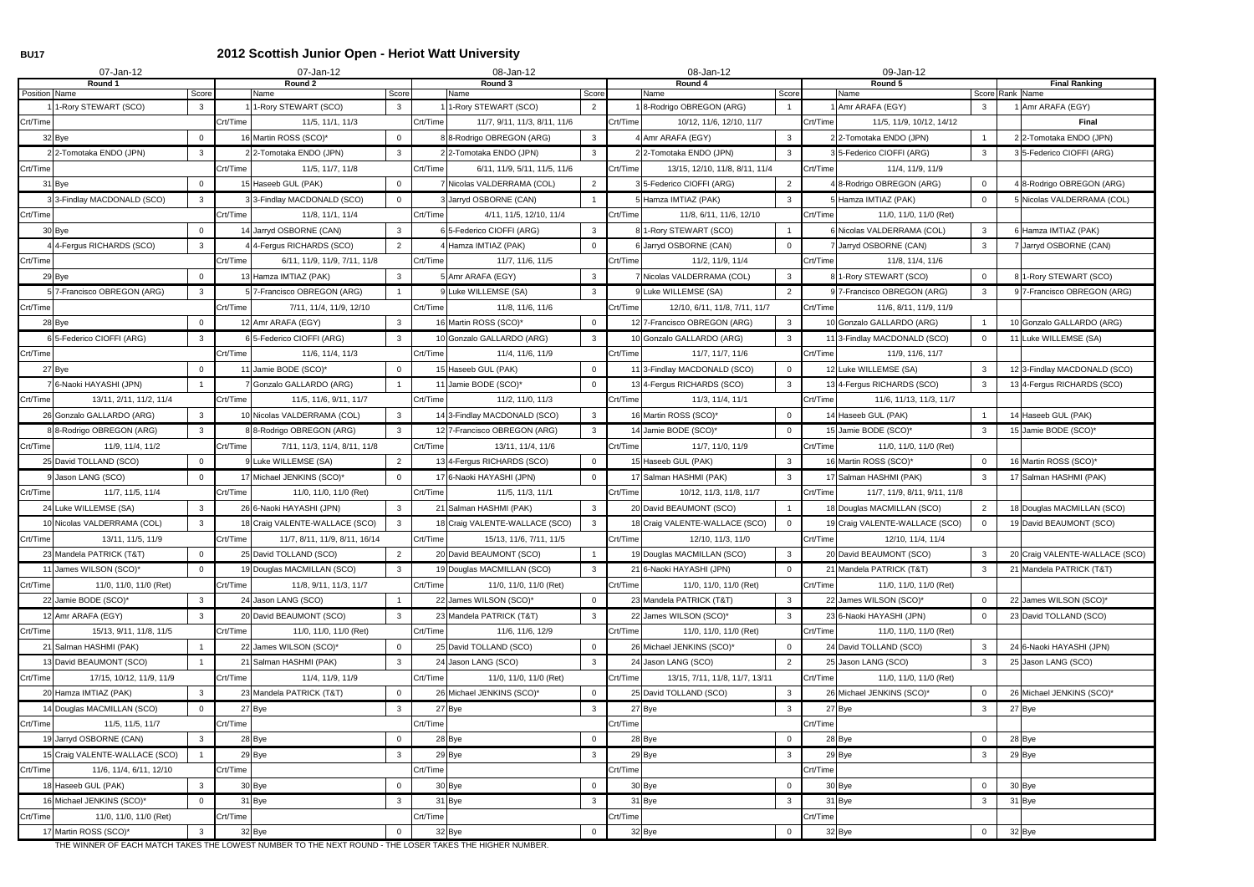## **BU17 2012 Scottish Junior Open - Heriot Watt University**

|               | 07-Jan-12                      |                |          | 07-Jan-12                      |                |          | 08-Jan-12                      |                |          | 08-Jan-12                      |                | 09-Jan-12                                |                |                                         |
|---------------|--------------------------------|----------------|----------|--------------------------------|----------------|----------|--------------------------------|----------------|----------|--------------------------------|----------------|------------------------------------------|----------------|-----------------------------------------|
| Position Name | Round 1                        | Score          |          | Round 2<br>Name                | Score          |          | Round 3<br>Name                | Score          |          | Round 4<br>Name                | Score          | Round 5<br>Name                          |                | <b>Final Ranking</b><br>Score Rank Name |
|               | 1-Rory STEWART (SCO)           | 3              |          | 1-Rory STEWART (SCO)           | 3              |          | 1-Rory STEWART (SCO)           | $\overline{2}$ |          | 1 8-Rodrigo OBREGON (ARG)      |                | 1 Amr ARAFA (EGY)                        | 3              | 1 Amr ARAFA (EGY)                       |
| Crt/Time      |                                |                | Crt/Time | 11/5, 11/1, 11/3               |                | Crt/Time | 11/7, 9/11, 11/3, 8/11, 11/6   |                | Crt/Time | 10/12, 11/6, 12/10, 11/7       |                | Crt/Time<br>11/5, 11/9, 10/12, 14/12     |                | <b>Final</b>                            |
|               | 32 Bye                         | $\overline{0}$ |          | 16 Martin ROSS (SCO)*          | $\Omega$       |          | 8 8-Rodrigo OBREGON (ARG)      | $\mathbf{3}$   |          | 4 Amr ARAFA (EGY)              | $\mathbf{3}$   | 22-Tomotaka ENDO (JPN)                   |                | 2 2-Tomotaka ENDO (JPN)                 |
|               | 22-Tomotaka ENDO (JPN)         | 3              |          | 22-Tomotaka ENDO (JPN)         | 3              |          | 22-Tomotaka ENDO (JPN)         | $\mathbf{3}$   |          | 22-Tomotaka ENDO (JPN)         | $\mathbf{3}$   | 3 5-Federico CIOFFI (ARG)                | 3              | 3 5-Federico CIOFFI (ARG)               |
| Crt/Time      |                                |                | Crt/Time | 11/5, 11/7, 11/8               |                | Crt/Time | 6/11, 11/9, 5/11, 11/5, 11/6   |                | Crt/Time | 13/15, 12/10, 11/8, 8/11, 11/4 |                | Crt/Time<br>11/4, 11/9, 11/9             |                |                                         |
|               | 31 Bye                         |                |          | 15 Haseeb GUL (PAK)            | $\Omega$       |          | 7 Nicolas VALDERRAMA (COL)     | $\overline{2}$ |          | 35-Federico CIOFFI (ARG)       | $\overline{2}$ | 8-Rodrigo OBREGON (ARG)                  | $\overline{0}$ | 4 8-Rodrigo OBREGON (ARG)               |
|               | 3 3-Findlay MACDONALD (SCO)    | $\mathbf{3}$   |          | 3 3-Findlay MACDONALD (SCO)    | $\Omega$       |          | 3 Jarryd OSBORNE (CAN)         |                |          | 5 Hamza IMTIAZ (PAK)           | $\mathbf{3}$   | 5 Hamza IMTIAZ (PAK)                     | $\overline{0}$ | 5 Nicolas VALDERRAMA (COL)              |
| Crt/Time      |                                |                | Crt/Time | 11/8, 11/1, 11/4               |                | Crt/Time | 4/11, 11/5, 12/10, 11/4        |                | Crt/Time | 11/8, 6/11, 11/6, 12/10        |                | Crt/Time<br>11/0, 11/0, 11/0 (Ret)       |                |                                         |
|               | 30 Bye                         | $\Omega$       |          | 14 Jarryd OSBORNE (CAN)        | $\mathbf{3}$   |          | 6 5-Federico CIOFFI (ARG)      | $\mathbf{3}$   |          | 8 1-Rory STEWART (SCO)         |                | 6 Nicolas VALDERRAMA (COL)               | 3              | 6 Hamza IMTIAZ (PAK)                    |
|               | 4 4-Fergus RICHARDS (SCO)      | 3              |          | 4 4-Fergus RICHARDS (SCO)      | $\overline{2}$ |          | 4 Hamza IMTIAZ (PAK)           | $\Omega$       |          | 6 Jarryd OSBORNE (CAN)         | $\overline{0}$ | 7 Jarryd OSBORNE (CAN)                   | 3              | 7 Jarryd OSBORNE (CAN)                  |
| Crt/Time      |                                |                | Crt/Time | 6/11, 11/9, 11/9, 7/11, 11/8   |                | Crt/Time | 11/7, 11/6, 11/5               |                | Crt/Time | 11/2, 11/9, 11/4               |                | Crt/Time<br>11/8, 11/4, 11/6             |                |                                         |
|               | 29 Bye                         | $\mathbf 0$    |          | 13 Hamza IMTIAZ (PAK)          | $\mathbf{3}$   |          | 5 Amr ARAFA (EGY)              | $\mathbf{3}$   |          | 7 Nicolas VALDERRAMA (COL)     | $\mathbf{3}$   | 8 1-Rory STEWART (SCO)                   | $\mathbf 0$    | 8 1-Rory STEWART (SCO)                  |
|               | 5 7-Francisco OBREGON (ARG)    | 3              |          | 5 7-Francisco OBREGON (ARG)    |                |          | 9 Luke WILLEMSE (SA)           | 3              |          | 9 Luke WILLEMSE (SA)           | $\overline{2}$ | 9 7-Francisco OBREGON (ARG)              | $\mathbf{3}$   | 9 7-Francisco OBREGON (ARG)             |
| Crt/Time      |                                |                | Crt/Time | 7/11, 11/4, 11/9, 12/10        |                | Crt/Time | 11/8. 11/6. 11/6               |                | Crt/Time | 12/10, 6/11, 11/8, 7/11, 11/7  |                | Crt/Time<br>11/6, 8/11, 11/9, 11/9       |                |                                         |
|               | 28 Bye                         | $\Omega$       |          | 12 Amr ARAFA (EGY)             | 3              |          | 16 Martin ROSS (SCO)*          | $\overline{0}$ |          | 12 7-Francisco OBREGON (ARG)   | $\mathbf{3}$   | 10 Gonzalo GALLARDO (ARG)                |                | 10 Gonzalo GALLARDO (ARG)               |
|               | 6 5-Federico CIOFFI (ARG)      | 3              |          | 6 5-Federico CIOFFI (ARG)      | 3              |          | 10 Gonzalo GALLARDO (ARG)      | $\mathbf{3}$   |          | 10 Gonzalo GALLARDO (ARG)      | $\mathbf{3}$   | 11 3-Findlay MACDONALD (SCO)             | $\overline{0}$ | 11 Luke WILLEMSE (SA)                   |
| Crt/Time      |                                |                | Crt/Time | 11/6, 11/4, 11/3               |                | Crt/Time | 11/4, 11/6, 11/9               |                | Crt/Time | 11/7, 11/7, 11/6               |                | Crt/Time<br>11/9, 11/6, 11/7             |                |                                         |
|               | 27 Bye                         | $\Omega$       |          | 11 Jamie BODE (SCO)*           | $\Omega$       |          | 15 Haseeb GUL (PAK)            | $\Omega$       |          | 11 3-Findlay MACDONALD (SCO)   | $\mathbf 0$    | 12 Luke WILLEMSE (SA)                    | 3              | 123-Findlay MACDONALD (SCO)             |
|               | 7 6-Naoki HAYASHI (JPN)        |                |          | 7 Gonzalo GALLARDO (ARG)       |                |          | 11 Jamie BODE (SCO)*           | $\Omega$       |          | 13 4-Fergus RICHARDS (SCO)     | $\mathbf{3}$   | 134-Fergus RICHARDS (SCO)                | 3              | 13 4-Fergus RICHARDS (SCO)              |
| Crt/Time      | 13/11, 2/11, 11/2, 11/4        |                | Crt/Time | 11/5, 11/6, 9/11, 11/7         |                | Crt/Time | 11/2, 11/0, 11/3               |                | Crt/Time | 11/3, 11/4, 11/1               |                | Crt/Time<br>11/6, 11/13, 11/3, 11/7      |                |                                         |
|               | 26 Gonzalo GALLARDO (ARG)      | 3              |          | 10 Nicolas VALDERRAMA (COL)    | $\mathbf{3}$   |          | 14 3-Findlay MACDONALD (SCO)   | $\mathbf{3}$   |          | 16 Martin ROSS (SCO)*          | $\mathbf 0$    | 14 Haseeb GUL (PAK)                      |                | 14 Haseeb GUL (PAK)                     |
|               | 8 8-Rodrigo OBREGON (ARG)      | 3              |          | 8 8-Rodrigo OBREGON (ARG)      | 3              |          | 12 7-Francisco OBREGON (ARG)   | $\mathbf{3}$   |          | 14 Jamie BODE (SCO)*           | $\overline{0}$ | 15 Jamie BODE (SCO)*                     | 3              | 15 Jamie BODE (SCO)*                    |
| Crt/Time      | 11/9, 11/4, 11/2               |                | Crt/Time | 7/11, 11/3, 11/4, 8/11, 11/8   |                | Crt/Time | 13/11, 11/4, 11/6              |                | Crt/Time | 11/7, 11/0, 11/9               |                | Crt/Time<br>11/0, 11/0, 11/0 (Ret)       |                |                                         |
|               | 25 David TOLLAND (SCO)         | $\Omega$       |          | J Luke WILLEMSE (SA)           | $\overline{2}$ |          | 13 4-Fergus RICHARDS (SCO)     | $\overline{0}$ |          | 15 Haseeb GUL (PAK)            | $\mathbf{3}$   | 16 Martin ROSS (SCO)*                    | $\mathbf 0$    | 16 Martin ROSS (SCO)*                   |
|               | 9 Jason LANG (SCO)             | $\Omega$       |          | 17 Michael JENKINS (SCO)*      | $\Omega$       |          | 17 6-Naoki HAYASHI (JPN)       | $\Omega$       |          | 17 Salman HASHMI (PAK)         | $\mathbf{3}$   | 17 Salman HASHMI (PAK)                   | 3              | 17 Salman HASHMI (PAK)                  |
| Crt/Time      | 11/7, 11/5, 11/4               |                | Crt/Time | 11/0, 11/0, 11/0 (Ret)         |                | Crt/Time | 11/5, 11/3, 11/1               |                | Crt/Time | 10/12, 11/3, 11/8, 11/7        |                | 11/7, 11/9, 8/11, 9/11, 11/8<br>Crt/Time |                |                                         |
|               | 24 Luke WILLEMSE (SA)          | 3              |          | 26 6-Naoki HAYASHI (JPN)       | 3              |          | 21 Salman HASHMI (PAK)         | $\mathbf{3}$   |          | 20 David BEAUMONT (SCO)        |                | 18 Douglas MACMILLAN (SCO)               | 2              | 18 Douglas MACMILLAN (SCO)              |
|               | 10 Nicolas VALDERRAMA (COL)    | $\mathbf{3}$   |          | 18 Craig VALENTE-WALLACE (SCO) | $\mathbf{3}$   |          | 18 Craig VALENTE-WALLACE (SCO) | $\mathbf{3}$   |          | 18 Craig VALENTE-WALLACE (SCO) | $\overline{0}$ | 19 Craig VALENTE-WALLACE (SCO)           | $\overline{0}$ | 19 David BEAUMONT (SCO)                 |
| Crt/Time      | 13/11, 11/5, 11/9              |                | Crt/Time | 11/7, 8/11, 11/9, 8/11, 16/14  |                | Crt/Time | 15/13, 11/6, 7/11, 11/5        |                | Crt/Time | 12/10, 11/3, 11/0              |                | Crt/Time<br>12/10, 11/4, 11/4            |                |                                         |
|               | 23 Mandela PATRICK (T&T)       | $\overline{0}$ |          | 25 David TOLLAND (SCO)         | $\overline{2}$ |          | 20 David BEAUMONT (SCO)        |                |          | 19 Douglas MACMILLAN (SCO)     | $\mathbf{3}$   | 20 David BEAUMONT (SCO)                  | $\mathbf{3}$   | 20 Craig VALENTE-WALLACE (SCO)          |
|               | 11 James WILSON (SCO)*         | $\overline{0}$ |          | 19 Douglas MACMILLAN (SCO)     | 3 <sup>1</sup> |          | 19 Douglas MACMILLAN (SCO)     | $\mathbf{3}$   |          | 21 6-Naoki HAYASHI (JPN)       | $\overline{0}$ | 21 Mandela PATRICK (T&T)                 | 3              | 21 Mandela PATRICK (T&T)                |
| Crt/Time      | 11/0, 11/0, 11/0 (Ret)         |                | Crt/Time | 11/8, 9/11, 11/3, 11/7         |                | Crt/Time | 11/0, 11/0, 11/0 (Ret)         |                | Crt/Time | 11/0, 11/0, 11/0 (Ret)         |                | Crt/Time<br>11/0, 11/0, 11/0 (Ret)       |                |                                         |
|               | 22 Jamie BODE (SCO)*           | $\mathbf{3}$   |          | 24 Jason LANG (SCO)            |                |          | 22 James WILSON (SCO)*         | $\mathbf 0$    |          | 23 Mandela PATRICK (T&T)       | $\mathbf{3}$   | 22 James WILSON (SCO)*                   | $\mathbf 0$    | 22 James WILSON (SCO)*                  |
|               | 12 Amr ARAFA (EGY)             | 3              |          | 20 David BEAUMONT (SCO)        | 3 <sup>1</sup> |          | 23 Mandela PATRICK (T&T)       | $\mathbf{3}$   |          | 22 James WILSON (SCO)*         | $\mathbf{3}$   | 23 6-Naoki HAYASHI (JPN)                 | $\overline{0}$ | 23 David TOLLAND (SCO)                  |
| Crt/Time      | 15/13, 9/11, 11/8, 11/5        |                | Crt/Time | 11/0, 11/0, 11/0 (Ret)         |                | Crt/Time | 11/6, 11/6, 12/9               |                | Crt/Time | 11/0, 11/0, 11/0 (Ret)         |                | Crt/Time<br>11/0, 11/0, 11/0 (Ret)       |                |                                         |
|               | 21 Salman HASHMI (PAK)         |                |          | 22 James WILSON (SCO)*         |                |          | 25 David TOLLAND (SCO)         | $\mathbf 0$    |          | 26 Michael JENKINS (SCO)*      | $\mathbf 0$    | 24 David TOLLAND (SCO)                   | $\mathbf{3}$   | 24 6-Naoki HAYASHI (JPN)                |
|               | 13 David BEAUMONT (SCO)        |                |          | 21 Salman HASHMI (PAK)         | $\mathbf{3}$   |          | 24 Jason LANG (SCO)            | $\mathbf{3}$   |          | 24 Jason LANG (SCO)            | $\overline{2}$ | 25 Jason LANG (SCO)                      | 3              | 25 Jason LANG (SCO)                     |
| Crt/Time      | 17/15, 10/12, 11/9, 11/9       |                | Crt/Time | 11/4, 11/9, 11/9               |                | Crt/Time | 11/0, 11/0, 11/0 (Ret)         |                | Crt/Time | 13/15, 7/11, 11/8, 11/7, 13/11 |                | 11/0, 11/0, 11/0 (Ret)<br>Crt/Time       |                |                                         |
|               | 20 Hamza IMTIAZ (PAK)          | 3              |          | 23 Mandela PATRICK (T&T)       | $\mathbf 0$    |          | 26 Michael JENKINS (SCO)*      | $\mathbf 0$    |          | 25 David TOLLAND (SCO)         | $\mathbf{3}$   | 26 Michael JENKINS (SCO)*                | $\overline{0}$ | 26 Michael JENKINS (SCO)*               |
|               | 14 Douglas MACMILLAN (SCO)     |                |          | 27 Bye                         | 3 <sup>1</sup> |          | 27 Bye                         | $\mathbf{3}$   |          | 27 Bye                         | $\mathbf{3}$   | 27 Bye                                   | $\mathbf{3}$   | 27 Bye                                  |
| Crt/Time      | 11/5, 11/5, 11/7               |                | Crt/Time |                                |                | Crt/Time |                                |                | Crt/Time |                                |                | Crt/Time                                 |                |                                         |
|               | 19 Jarryd OSBORNE (CAN)        | $\mathbf{3}$   |          | 28 Bye                         | $\mathbf 0$    |          | 28 Bye                         | $\mathbf 0$    |          | 28 Bye                         | $\overline{0}$ | 28 Bye                                   | $\Omega$       | 28 Bye                                  |
|               | 15 Craig VALENTE-WALLACE (SCO) |                |          | 29 Bye                         | 3              |          | 29 Bye                         | 3              |          | 29 Bye                         | $\mathbf{3}$   | 29 Bye                                   | $\mathbf{3}$   | 29 Bye                                  |
| Crt/Time      | 11/6, 11/4, 6/11, 12/10        |                | Crt/Time |                                |                | Crt/Time |                                |                | Crt/Time |                                |                | Crt/Time                                 |                |                                         |
|               | 18 Haseeb GUL (PAK)            | 3              |          | 30 Bye                         | $\mathbf 0$    |          | 30 Bye                         | $\mathbf 0$    |          | 30 Bye                         | $\mathbf 0$    | 30 Bye                                   | $\mathbf 0$    | 30 Bye                                  |
|               | 16 Michael JENKINS (SCO)*      | $\Omega$       |          | 31 Bye                         | $\mathbf{3}$   |          | 31 Bye                         | 3              |          | 31 Bye                         | $\mathbf{3}$   | 31 Bye                                   | 3              | 31 Bye                                  |
| Crt/Time      | 11/0, 11/0, 11/0 (Ret)         |                | Crt/Time |                                |                | Crt/Time |                                |                | Crt/Time |                                |                | Crt/Time                                 |                |                                         |
|               | 17 Martin ROSS (SCO)*          | $\mathbf{3}$   |          | 32 Bye                         | $\mathbf 0$    |          | 32 Bye                         | $\overline{0}$ |          | 32 Bye                         | $\mathbf 0$    | 32 Bye                                   | $\mathbf 0$    | 32 Bye                                  |

THE WINNER OF EACH MATCH TAKES THE LOWEST NUMBER TO THE NEXT ROUND - THE LOSER TAKES THE HIGHER NUMBER.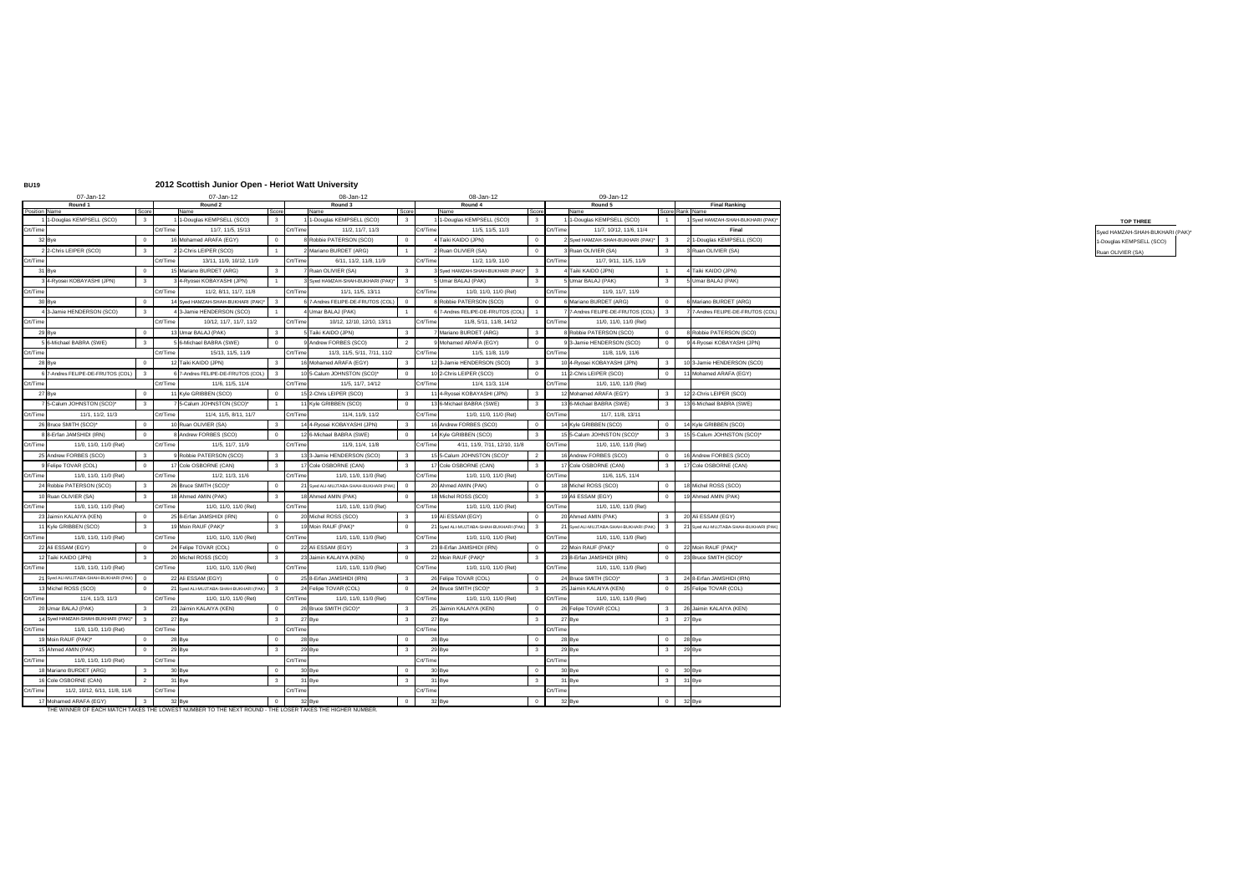### **BU19 2012 Scottish Junior Open - Heriot Watt University**

|          | 07-Jan-12                                            | 07-Jan-12                                                                                              |                         |          | 08-Jan-12                              |                         |          | 08-Jan-12                              |       | 09-Jan-12                              |                         |                                         |
|----------|------------------------------------------------------|--------------------------------------------------------------------------------------------------------|-------------------------|----------|----------------------------------------|-------------------------|----------|----------------------------------------|-------|----------------------------------------|-------------------------|-----------------------------------------|
|          | Round 1<br>Position Name<br>Score                    | Round 2<br>Name                                                                                        | Score                   |          | Round 3<br>Name                        | Score                   |          | Round 4<br>Name                        | Score | Round 5<br>Name                        |                         | <b>Final Ranking</b><br>Score Rank Name |
|          | 1 1-Douglas KEMPSELL (SCO)<br>$_{3}$                 | 1 1-Douglas KEMPSELL (SCO)                                                                             | $\overline{\mathbf{3}}$ |          | 1-Douglas KEMPSELL (SCO)               | $\overline{\mathbf{3}}$ |          | 1 1-Douglas KEMPSELL (SCO)             |       | 1 1-Douglas KEMPSELL (SCO)             | $\overline{1}$          | 1 Syed HAMZAH-SHAH-BUKHARI (PAK)*       |
| Crt/Time |                                                      | 11/7, 11/5, 15/13<br>rt/Time                                                                           |                         | Crt/Time | 11/2, 11/7, 11/3                       |                         | Crt/Time | 11/5, 11/5, 11/3                       |       | Crt/Time<br>11/7, 10/12, 11/6, 11/4    |                         | Final                                   |
|          | 32 Bye                                               | 16 Mohamed ARAFA (EGY)                                                                                 |                         |          | Robbie PATERSON (SCO)                  |                         |          | 4 Taiki KAIDO (JPN)                    |       | 2 Syed HAMZAH-SHAH-BUKHARI (PAK)*      |                         | 2 1-Douglas KEMPSELL (SCO)              |
|          | 2 2-Chris LEIPER (SCO)                               | 2 2-Chris LEIPER (SCO)                                                                                 |                         |          | Mariano BURDET (ARG)                   |                         |          | 2 Ruan OLIVIER (SA)                    |       | Ruan OLIVIER (SA)                      |                         | 3 Ruan OLIVIER (SA)                     |
| Crt/Time |                                                      | rt/Time<br>13/11, 11/9, 10/12, 11/9                                                                    |                         | Crt/Time | 6/11, 11/2, 11/8, 11/9                 |                         | Crt/Time | 11/2, 11/9, 11/0                       |       | crt/Time<br>11/7, 9/11, 11/5, 11/9     |                         |                                         |
|          | 31 Bye                                               | 15 Mariano BURDET (ARG)                                                                                |                         |          | Ruan OLIVIER (SA)                      |                         |          | 3 Syed HAMZAH-SHAH-BUKHARI (PAK)*      |       | 4 Taiki KAIDO (JPN)                    |                         | 4 Taiki KAIDO (JPN)                     |
|          | 3 4-Ryosei KOBAYASHI (JPN)                           | 3 4-Ryosei KOBAYASHI (JPN)                                                                             |                         |          | Syed HAMZAH-SHAH-BUKHARI (PAK)*        |                         |          | Umar BALAJ (PAK)                       |       | Umar BALAJ (PAK)                       | $\mathbf{3}$            | 5 Umar BALAJ (PAK)                      |
| Crt/Time |                                                      | crt/Time<br>11/2, 8/11, 11/7, 11/8                                                                     |                         | Crt/Time | 11/1, 11/5, 13/11                      |                         | Crt/Time | 11/0, 11/0, 11/0 (Ret)                 |       | Crt/Time<br>11/9, 11/7, 11/9           |                         |                                         |
|          | 30 Bye                                               | 14 Syed HAMZAH-SHAH-BUKHARI (PAK)*                                                                     |                         |          | 7-Andres FELIPE-DE-FRUTOS (COL)        |                         |          | 8 Robbie PATERSON (SCO)                |       | 6 Mariano BURDET (ARG)                 | $\overline{0}$          | 6 Mariano BURDET (ARG)                  |
|          | 4 3-Jamie HENDERSON (SCO)                            | 4 3-Jamie HENDERSON (SCO)                                                                              |                         |          | 4 Umar BALAJ (PAK)                     |                         |          | 6 7-Andres FELIPE-DE-FRUTOS (COL       |       | 7 7-Andres FELIPE-DE-FRUTOS (COL       | 3                       | 7 7-Andres FELIPE-DE-FRUTOS (COL)       |
| Crt/Time |                                                      | rt/Time<br>10/12, 11/7, 11/7, 11/2                                                                     |                         | Crt/Time | 10/12, 12/10, 12/10, 13/11             |                         | Crt/Time | 11/8, 5/11, 11/8, 14/12                |       | crt/Time<br>11/0, 11/0, 11/0 (Ret)     |                         |                                         |
|          | 29 Bye                                               | 13 Umar BALAJ (PAK)                                                                                    | $\mathbf{a}$            |          | Taiki KAIDO (JPN)                      | $\mathbf{3}$            |          | 7 Mariano BURDET (ARG)                 |       | 8 Robbie PATERSON (SCO)                |                         | 8 Robbie PATERSON (SCO)                 |
|          | 5 6-Michael BABRA (SWE)<br>$\overline{\mathbf{3}}$   | 5 6-Michael BABRA (SWE)                                                                                | $\overline{0}$          |          | 9 Andrew FORBES (SCO)                  | $\overline{2}$          |          | 9 Mohamed ARAFA (EGY)                  |       | 9 3-Jamie HENDERSON (SCO)              | $\overline{0}$          | 9 4-Ryosei KOBAYASHI (JPN)              |
| Crt/Time |                                                      | rt/Time<br>15/13, 11/5, 11/9                                                                           |                         | Crt/Time | 11/3, 11/5, 5/11, 7/11, 11/2           |                         | Crt/Time | 11/5, 11/8, 11/9                       |       | Crt/Time<br>11/8, 11/9, 11/6           |                         |                                         |
|          | 28 Bye                                               | 12 Taiki KAIDO (JPN)                                                                                   | $\overline{\mathbf{3}}$ |          | 16 Mohamed ARAFA (EGY)                 | $\overline{\mathbf{3}}$ |          | 12 3-Jamie HENDERSON (SCO)             |       | 10 4-Ryosei KOBAYASHI (JPN)            |                         | 10 3-Jamie HENDERSON (SCO)              |
|          | 6 7-Andres FELIPE-DE-FRUTOS (COL) 3                  | 6 7-Andres FELIPE-DE-FRUTOS (COL) 3                                                                    |                         |          | 10 5-Calum JOHNSTON (SCO)*             | $\Omega$                |          | 10 2-Chris LEIPER (SCO)                |       | 11 2-Chris LEIPER (SCO)                | $\circ$                 | 11 Mohamed ARAFA (EGY)                  |
| Crt/Time |                                                      | 11/6, 11/5, 11/4<br>rt/Time                                                                            |                         | Crt/Time | 11/5, 11/7, 14/12                      |                         | Crt/Time | 11/4, 11/3, 11/4                       |       | Crt/Time<br>11/0, 11/0, 11/0 (Ret)     |                         |                                         |
|          | 27 Bye                                               | 11 Kyle GRIBBEN (SCO)                                                                                  |                         |          | 15 2-Chris LEIPER (SCO)                | $\overline{\mathbf{3}}$ |          | 11 4-Ryosei KOBAYASHI (JPN)            |       | 12 Mohamed ARAFA (EGY)                 | $\mathbf{3}$            | 12 2-Chris LEIPER (SCO)                 |
|          | 7 5-Calum JOHNSTON (SCO)*                            | 7 5-Calum JOHNSTON (SCO)*                                                                              |                         |          | 11 Kyle GRIBBEN (SCO)                  | $\Omega$                |          | 13 6-Michael BABRA (SWE)               |       | 13 6-Michael BABRA (SWE)               |                         | 13 6-Michael BABRA (SWE)                |
| Crt/Time | 11/1, 11/2, 11/3                                     | 11/4, 11/5, 8/11, 11/7<br>rt/Time                                                                      |                         | Crt/Time | 11/4, 11/9, 11/2                       |                         | Crt/Time | 11/0, 11/0, 11/0 (Ret)                 |       | crt/Time<br>11/7, 11/8, 13/11          |                         |                                         |
|          | 26 Bruce SMITH (SCO)*                                | 10 Ruan OLIVIER (SA)                                                                                   |                         |          | 14 4-Ryosei KOBAYASHI (JPN)            |                         |          | 16 Andrew FORBES (SCO)                 |       | 14 Kyle GRIBBEN (SCO)                  | $\Omega$                | 14 Kyle GRIBBEN (SCO)                   |
|          | 8 8-Erfan JAMSHIDI (IRN)                             | 8 Andrew FORBES (SCO)                                                                                  |                         |          | 12 6-Michael BABRA (SWE)               |                         |          | 14 Kyle GRIBBEN (SCO)                  |       | 15 5-Calum JOHNSTON (SCO)*             | 3 <sup>1</sup>          | 15 5-Calum JOHNSTON (SCO)*              |
| Crt/Time | 11/0, 11/0, 11/0 (Ret)                               | rt/Time<br>11/5, 11/7, 11/9                                                                            |                         | Crt/Time | 11/9, 11/4, 11/8                       |                         | Crt/Time | 4/11, 11/9, 7/11, 12/10, 11/8          |       | crt/Time<br>11/0, 11/0, 11/0 (Ret)     |                         |                                         |
|          | 25 Andrew FORBES (SCO)                               | 9 Robbie PATERSON (SCO)                                                                                | $\mathbf{3}$            |          | 13 3-Jamie HENDERSON (SCO)             |                         |          | 15 5-Calum JOHNSTON (SCO)*             |       | 16 Andrew FORBES (SCO)                 |                         | 16 Andrew FORBES (SCO)                  |
|          | 9 Felipe TOVAR (COL)                                 | 17 Cole OSBORNE (CAN)                                                                                  | $\overline{\mathbf{3}}$ |          | 17 Cole OSBORNE (CAN)                  | $\overline{\mathbf{3}}$ |          | 17 Cole OSBORNE (CAN)                  |       | 17 Cole OSBORNE (CAN)                  | $\overline{\mathbf{3}}$ | 17 Cole OSBORNE (CAN)                   |
| Crt/Time | 11/0, 11/0, 11/0 (Ret)                               | rt/Time<br>11/2, 11/3, 11/6                                                                            |                         | Crt/Time | 11/0, 11/0, 11/0 (Ret)                 |                         | Crt/Time | 11/0, 11/0, 11/0 (Ret)                 |       | crt/Time<br>11/6, 11/5, 11/4           |                         |                                         |
|          | 24 Robbie PATERSON (SCO)                             | 26 Bruce SMITH (SCO)*                                                                                  |                         |          | 21 Syed ALI-MUJTABA-SHAH-BUKHARI (PAK) |                         |          | 20 Ahmed AMIN (PAK)                    |       | 18 Michel ROSS (SCO)                   |                         | 18 Michel ROSS (SCO)                    |
|          | 10 Ruan OLIVIER (SA)                                 | 18 Ahmed AMIN (PAK)                                                                                    | $\overline{\mathbf{3}}$ |          | 18 Ahmed AMIN (PAK)                    |                         |          | 18 Michel ROSS (SCO)                   |       | 19 Ali ESSAM (EGY)                     | $\Omega$                | 19 Ahmed AMIN (PAK)                     |
| Crt/Time | 11/0, 11/0, 11/0 (Ret)                               | rt/Time<br>11/0, 11/0, 11/0 (Ret)                                                                      |                         | Crt/Time | 11/0, 11/0, 11/0 (Ret)                 |                         | Crt/Time |                                        |       | Crt/Time<br>11/0, 11/0, 11/0 (Ret)     |                         |                                         |
|          |                                                      |                                                                                                        | $\Omega$                |          |                                        |                         |          | 11/0, 11/0, 11/0 (Ret)                 |       |                                        |                         |                                         |
|          | 23 Jaimin KALAIYA (KEN)                              | 25 8-Erfan JAMSHIDI (IRN)                                                                              |                         |          | 20 Michel ROSS (SCO)                   | $_{3}$                  |          | 19 Ali ESSAM (EGY)                     |       | 20 Ahmed AMIN (PAK)                    | $\mathbf{3}$            | 20 Ali ESSAM (EGY)                      |
|          | 11 Kyle GRIBBEN (SCO)                                | 19 Moin RAUF (PAK)*                                                                                    | $\mathbf{3}$            |          | 19 Moin RAUF (PAK)*                    | $\Omega$                |          | 21 Syed ALI-MUJTABA-SHAH-BUKHARI (PAK) |       | 21 Syed ALI-MUJTABA-SHAH-BUKHARI (PAK) | $\overline{3}$          | 21 Syed ALI-MUJTABA-SHAH-BUKHARI (PAK   |
| Crt/Time | 11/0, 11/0, 11/0 (Ret)                               | rt/Time<br>11/0, 11/0, 11/0 (Ret)                                                                      |                         | Crt/Time | 11/0, 11/0, 11/0 (Ret)                 |                         | Crt/Time | 11/0, 11/0, 11/0 (Ret)                 |       | crt/Time<br>11/0, 11/0, 11/0 (Ret)     |                         |                                         |
|          | 22 Ali ESSAM (EGY)                                   | 24 Felipe TOVAR (COL)                                                                                  |                         |          | 22 Ali ESSAM (EGY)                     | $\mathbf{3}$            |          | 23 8-Erfan JAMSHIDI (IRN)              |       | 22 Moin RAUF (PAK)*                    | $\circ$                 | 22 Moin RAUF (PAK)*                     |
|          | 12 Taiki KAIDO (JPN)<br>$_{3}$                       | 20 Michel ROSS (SCO)                                                                                   | $\overline{\mathbf{3}}$ |          | 23 Jaimin KALAIYA (KEN)                | $\Omega$                |          | 22 Moin RAUF (PAK)*                    |       | 23 8-Erfan JAMSHIDI (IRN)              | $\circ$                 | 23 Bruce SMITH (SCO)*                   |
| Crt/Time | 11/0, 11/0, 11/0 (Ret)                               | rt/Time<br>11/0, 11/0, 11/0 (Ret)                                                                      |                         | Crt/Time | 11/0, 11/0, 11/0 (Ret)                 |                         | Crt/Time | 11/0, 11/0, 11/0 (Ret)                 |       | Crt/Time<br>11/0, 11/0, 11/0 (Ret)     |                         |                                         |
|          | 21 Syed ALI-MUJTABA-SHAH-BUKHARI (PAK                | 22 Ali ESSAM (EGY)                                                                                     |                         |          | 25 8-Erfan JAMSHIDI (IRN)              |                         |          | 26 Felipe TOVAR (COL)                  |       | 24 Bruce SMITH (SCO)*                  | $\mathbf{3}$            | 24 8-Erfan JAMSHIDI (IRN)               |
|          | 13 Michel ROSS (SCO)                                 | 21 Syed ALI-MUJTABA-SHAH-BUKHARI (PAK)                                                                 | -3                      |          | 24 Felipe TOVAR (COL)                  |                         |          | 24 Bruce SMITH (SCO)*                  |       | 25 Jaimin KALAIYA (KEN)                | $\Omega$                | 25 Felipe TOVAR (COL)                   |
| Crt/Time | 11/4, 11/3, 11/3                                     | rt/Time<br>11/0, 11/0, 11/0 (Ret)                                                                      |                         | Crt/Time | 11/0, 11/0, 11/0 (Ret)                 |                         | Crt/Time | 11/0, 11/0, 11/0 (Ret)                 |       | crt/Time<br>11/0, 11/0, 11/0 (Ret)     |                         |                                         |
|          | 20 Umar BALAJ (PAK)                                  | 23 Jaimin KALAIYA (KEN)                                                                                |                         |          | 26 Bruce SMITH (SCO)*                  | $\mathbf{3}$            |          | 25 Jaimin KALAIYA (KEN)                |       | 26 Felipe TOVAR (COL)                  | 3 <sup>1</sup>          | 26 Jaimin KALAIYA (KEN)                 |
|          | 14 Syed HAMZAH-SHAH-BUKHARI (PAK)*                   | 27 Bye                                                                                                 | $\mathbf{3}$            |          | 27 Bye                                 | $\overline{\mathbf{3}}$ |          | 27 Bye                                 |       | 27 Bye                                 | 3 <sup>1</sup>          | 27 Bye                                  |
| Crt/Time | 11/0, 11/0, 11/0 (Ret)                               | rt/Time                                                                                                |                         | Crt/Time |                                        |                         | Crt/Time |                                        |       | Crt/Time                               |                         |                                         |
|          | 19 Moin RAUF (PAK)*                                  | 28 Bye                                                                                                 | $\overline{0}$          |          | 28 Bye                                 | $\Omega$                |          | 28 Bye                                 |       | 28 Bye                                 |                         | 0 28 Bye                                |
|          | 15 Ahmed AMIN (PAK)                                  | 29 Bye                                                                                                 | $\mathbf{3}$            |          | 29 Bye                                 | $\mathbf{3}$            |          | 29 Bye                                 |       | 29 Bye                                 | 3 <sup>1</sup>          | 29 Bye                                  |
| Crt/Time | 11/0, 11/0, 11/0 (Ret)                               | rt/Time                                                                                                |                         | Crt/Time |                                        |                         | Crt/Time |                                        |       | crt/Time                               |                         |                                         |
|          | 18 Mariano BURDET (ARG)                              | 30 Bye                                                                                                 | $\overline{0}$          |          | 30 Bye                                 | $\Omega$                |          | 30 Bye                                 |       | 30 Bye                                 | $\Omega$                | 30 Bye                                  |
|          | 16 Cole OSBORNE (CAN)                                | 31 Bye                                                                                                 | 3 <sup>1</sup>          |          | 31 Bye                                 | $\mathbf{3}$            |          | 31 Bye                                 |       | 31 Bye                                 | 3 <sup>1</sup>          | 31 Bye                                  |
| Crt/Time | 11/2, 10/12, 6/11, 11/8, 11/6                        | crt/Time                                                                                               |                         | Crt/Time |                                        |                         | Crt/Time |                                        |       | crt/Time                               |                         |                                         |
|          | 17 Mohamed ARAFA (EGY)<br>$\overline{\phantom{a}}$ 3 | 32 Bye                                                                                                 | $\Omega$                |          | 32 Bye                                 | $\Omega$                |          | 32 Bye                                 |       | 32 Bye                                 |                         | 32 Bye                                  |
|          |                                                      | THE WINNER OF EACH MATCH TAKES THE LOWEST NUMBER TO THE NEXT ROUND - THE LOSER TAKES THE HIGHER NUMBER |                         |          |                                        |                         |          |                                        |       |                                        |                         |                                         |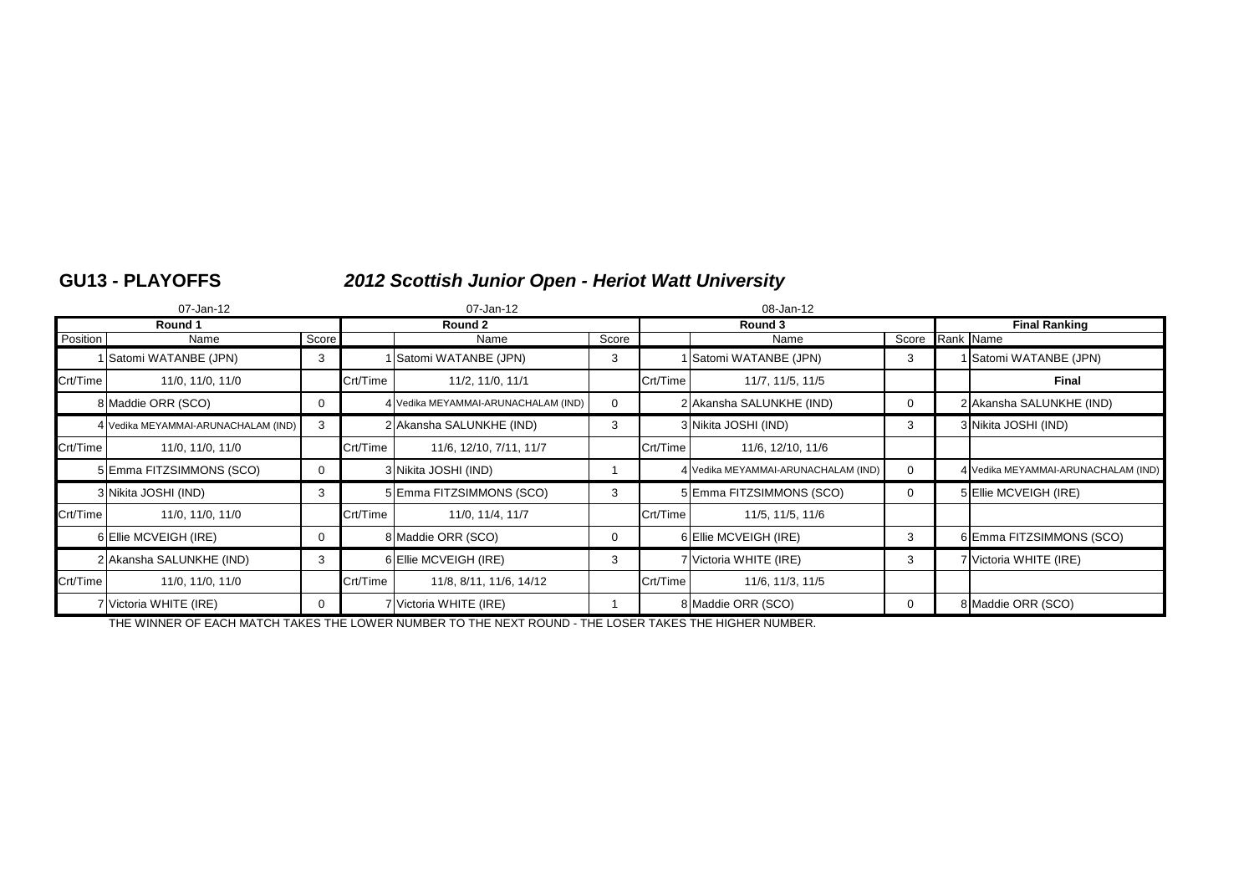# **GU13 - PLAYOFFS** *2012 Scottish Junior Open - Heriot Watt University*

|          | 07-Jan-12                           |          |          | 07-Jan-12                           |             | 08-Jan-12 |                                     |                      |  |                                     |
|----------|-------------------------------------|----------|----------|-------------------------------------|-------------|-----------|-------------------------------------|----------------------|--|-------------------------------------|
|          | Round 1                             |          | Round 2  |                                     |             |           | Round 3                             | <b>Final Ranking</b> |  |                                     |
| Position | Name                                | Score    |          | Name                                | Score       |           | Name                                | Score Rank Name      |  |                                     |
|          | 1 Satomi WATANBE (JPN)              | 3        |          | 1 Satomi WATANBE (JPN)              | 3           |           | Satomi WATANBE (JPN)                | 3                    |  | Satomi WATANBE (JPN)                |
| Crt/Time | 11/0, 11/0, 11/0                    |          | Crt/Time | 11/2, 11/0, 11/1                    |             | Crt/Time  | 11/7, 11/5, 11/5                    |                      |  | Final                               |
|          | 8 Maddie ORR (SCO)                  | 0        |          | 4 Vedika MEYAMMAI-ARUNACHALAM (IND) | $\mathbf 0$ |           | 2 Akansha SALUNKHE (IND)            | $\mathbf 0$          |  | 2 Akansha SALUNKHE (IND)            |
|          | 4 Vedika MEYAMMAI-ARUNACHALAM (IND) | 3        |          | 2 Akansha SALUNKHE (IND)            | 3           |           | 3 Nikita JOSHI (IND)                | 3                    |  | 3 Nikita JOSHI (IND)                |
| Crt/Time | 11/0, 11/0, 11/0                    |          | Crt/Time | 11/6, 12/10, 7/11, 11/7             |             | Crt/Time  | 11/6, 12/10, 11/6                   |                      |  |                                     |
|          | 5 Emma FITZSIMMONS (SCO)            | $\Omega$ |          | 3 Nikita JOSHI (IND)                |             |           | 4 Vedika MEYAMMAI-ARUNACHALAM (IND) | $\Omega$             |  | 4 Vedika MEYAMMAI-ARUNACHALAM (IND) |
|          | 3 Nikita JOSHI (IND)                | 3        |          | 5 Emma FITZSIMMONS (SCO)            | 3           |           | 5 Emma FITZSIMMONS (SCO)            | $\mathbf 0$          |  | 5 Ellie MCVEIGH (IRE)               |
| Crt/Time | 11/0, 11/0, 11/0                    |          | Crt/Time | 11/0, 11/4, 11/7                    |             | Crt/Time  | 11/5, 11/5, 11/6                    |                      |  |                                     |
|          | 6 Ellie MCVEIGH (IRE)               | 0        |          | 8 Maddie ORR (SCO)                  | 0           |           | 6 Ellie MCVEIGH (IRE)               | 3                    |  | 6 Emma FITZSIMMONS (SCO)            |
|          | 2 Akansha SALUNKHE (IND)            | 3        |          | 6 Ellie MCVEIGH (IRE)               | 3           |           | 7 Victoria WHITE (IRE)              | 3                    |  | 7 Victoria WHITE (IRE)              |
| Crt/Time | 11/0, 11/0, 11/0                    |          | Crt/Time | 11/8, 8/11, 11/6, 14/12             |             | Crt/Time  | 11/6, 11/3, 11/5                    |                      |  |                                     |
|          | 7 Victoria WHITE (IRE)              | 0        |          | 7 Victoria WHITE (IRE)              |             |           | 8 Maddie ORR (SCO)                  | 0                    |  | 8 Maddie ORR (SCO)                  |

THE WINNER OF EACH MATCH TAKES THE LOWER NUMBER TO THE NEXT ROUND - THE LOSER TAKES THE HIGHER NUMBER.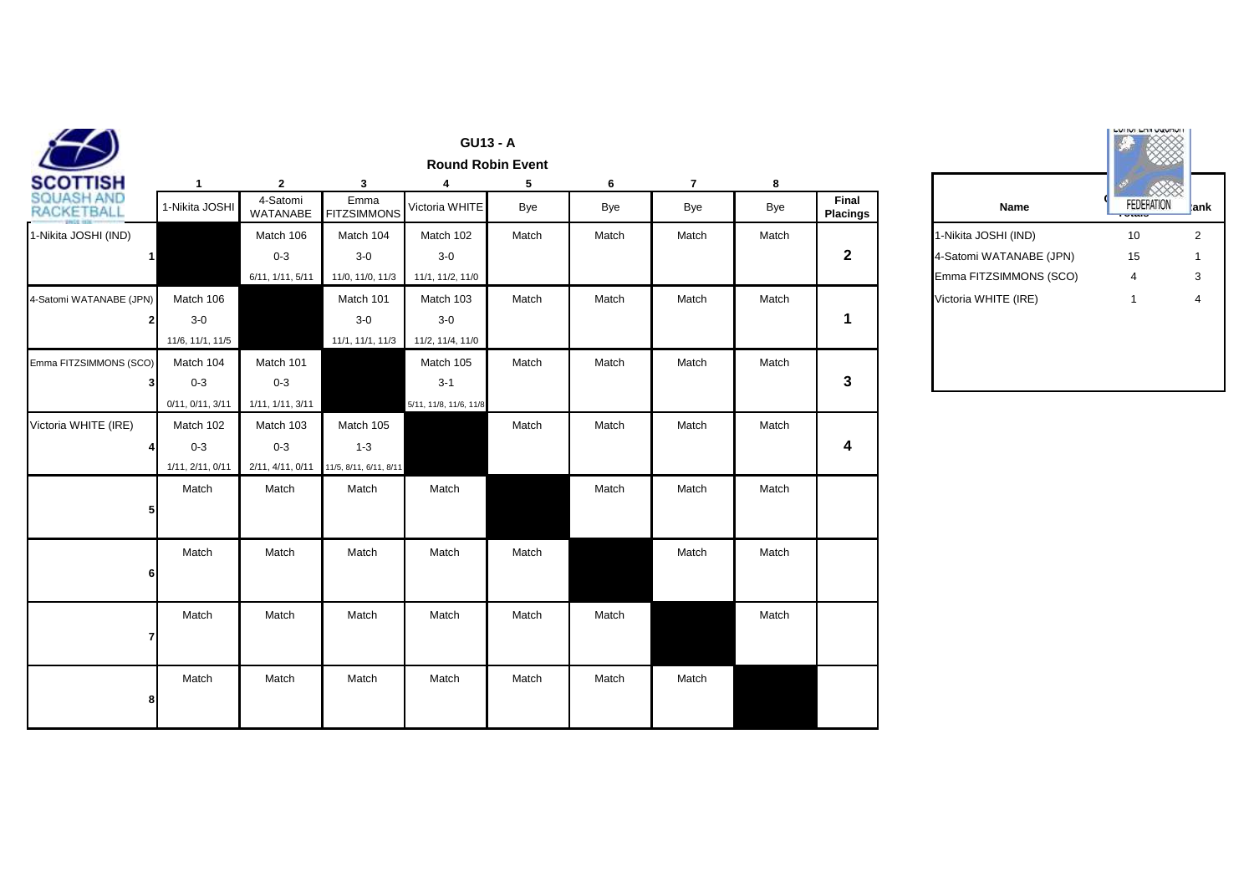|                                 |                  |                      |                            | <b>GU13 - A</b>        | <b>Round Robin Event</b> |       |                |       |                                 |                         | <b>LUTIOL LATE VANDAL</b>          |  |
|---------------------------------|------------------|----------------------|----------------------------|------------------------|--------------------------|-------|----------------|-------|---------------------------------|-------------------------|------------------------------------|--|
| SCOTTISH                        | $\mathbf{1}$     | $\mathbf{2}$         | 3                          | 4                      | 5                        | 6     | $\overline{7}$ | 8     |                                 |                         |                                    |  |
| SQUASH AND<br><b>RACKETBALL</b> | 1-Nikita JOSHI   | 4-Satomi<br>WATANABE | Emma<br><b>FITZSIMMONS</b> | Victoria WHITE         | Bye                      | Bye   | Bye            | Bye   | <b>Final</b><br><b>Placings</b> | Name                    | <b>FEDERATION</b><br><b>County</b> |  |
| 1-Nikita JOSHI (IND)            |                  | Match 106            | Match 104                  | Match 102              | Match                    | Match | Match          | Match |                                 | 1-Nikita JOSHI (IND)    | 10                                 |  |
| $\mathbf{1}$                    |                  | $0 - 3$              | $3-0$                      | $3-0$                  |                          |       |                |       | $\mathbf{2}$                    | 4-Satomi WATANABE (JPN) | 15                                 |  |
|                                 |                  | 6/11, 1/11, 5/11     | 11/0, 11/0, 11/3           | 11/1, 11/2, 11/0       |                          |       |                |       |                                 | Emma FITZSIMMONS (SCO)  | $\overline{4}$                     |  |
| 4-Satomi WATANABE (JPN)         | Match 106        |                      | Match 101                  | Match 103              | Match                    | Match | Match          | Match |                                 | Victoria WHITE (IRE)    | $\mathbf{1}$                       |  |
|                                 | $3-0$            |                      | $3-0$                      | $3-0$                  |                          |       |                |       | $\mathbf 1$                     |                         |                                    |  |
|                                 | 11/6, 11/1, 11/5 |                      | 11/1, 11/1, 11/3           | 11/2, 11/4, 11/0       |                          |       |                |       |                                 |                         |                                    |  |
| Emma FITZSIMMONS (SCO)          | Match 104        | Match 101            |                            | Match 105              | Match                    | Match | Match          | Match |                                 |                         |                                    |  |
| 31                              | $0 - 3$          | $0 - 3$              |                            | $3-1$                  |                          |       |                |       | 3                               |                         |                                    |  |
|                                 | 0/11, 0/11, 3/11 | 1/11, 1/11, 3/11     |                            | 5/11, 11/8, 11/6, 11/8 |                          |       |                |       |                                 |                         |                                    |  |
| Victoria WHITE (IRE)            | Match 102        | Match 103            | Match 105                  |                        | Match                    | Match | Match          | Match |                                 |                         |                                    |  |
|                                 | $0 - 3$          | $0 - 3$              | $1 - 3$                    |                        |                          |       |                |       | 4                               |                         |                                    |  |
|                                 | 1/11, 2/11, 0/11 | 2/11, 4/11, 0/11     | 11/5, 8/11, 6/11, 8/11     |                        |                          |       |                |       |                                 |                         |                                    |  |
|                                 | Match            | Match                | Match                      | Match                  |                          | Match | Match          | Match |                                 |                         |                                    |  |
| 5                               |                  |                      |                            |                        |                          |       |                |       |                                 |                         |                                    |  |
|                                 |                  |                      |                            |                        |                          |       |                |       |                                 |                         |                                    |  |
|                                 | Match            | Match                | Match                      | Match                  | Match                    |       | Match          | Match |                                 |                         |                                    |  |
| 6                               |                  |                      |                            |                        |                          |       |                |       |                                 |                         |                                    |  |
|                                 |                  |                      |                            |                        |                          |       |                |       |                                 |                         |                                    |  |
|                                 | Match            | Match                | Match                      | Match                  | Match                    | Match |                | Match |                                 |                         |                                    |  |
|                                 |                  |                      |                            |                        |                          |       |                |       |                                 |                         |                                    |  |
|                                 |                  |                      |                            |                        |                          |       |                |       |                                 |                         |                                    |  |
|                                 | Match            | Match                | Match                      | Match                  | Match                    | Match | Match          |       |                                 |                         |                                    |  |
|                                 |                  |                      |                            |                        |                          |       |                |       |                                 |                         |                                    |  |
|                                 |                  |                      |                            |                        |                          |       |                |       |                                 |                         |                                    |  |

|                                 |                         | <b>LATIONAL</b>   |      |
|---------------------------------|-------------------------|-------------------|------|
| <b>Final</b><br><b>Placings</b> | <b>Name</b>             | <b>FEDERATION</b> | kank |
|                                 | 1-Nikita JOSHI (IND)    | 10                | 2    |
| 2                               | 4-Satomi WATANABE (JPN) | 15                |      |
|                                 | Emma FITZSIMMONS (SCO)  | 4                 | 3    |
|                                 | Victoria WHITE (IRE)    |                   | 4    |
|                                 |                         |                   |      |
|                                 |                         |                   |      |
|                                 |                         |                   |      |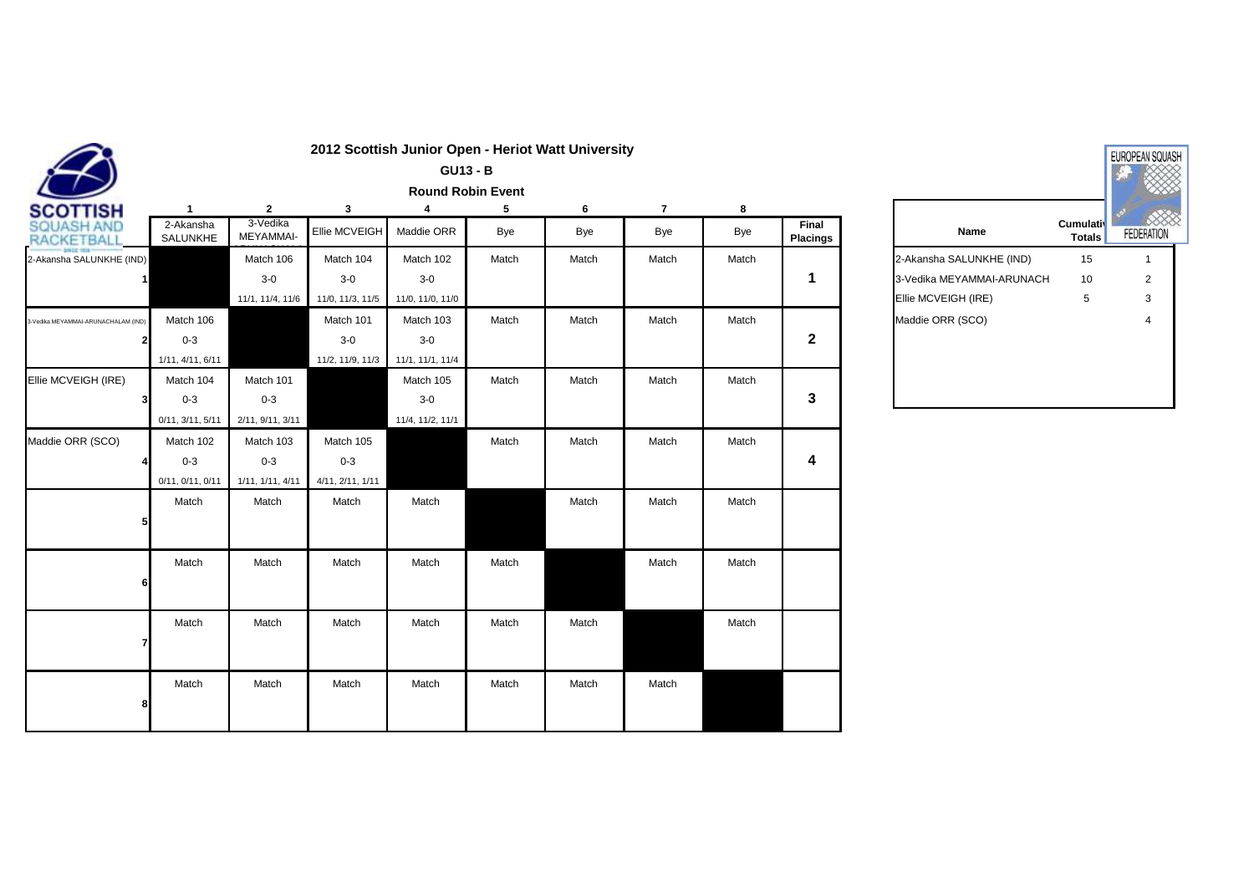|                                     |                       |                       |                  | <b>GU13 - B</b>  |                          |       |                |       |                          |                           |                                   | <b>A</b> |
|-------------------------------------|-----------------------|-----------------------|------------------|------------------|--------------------------|-------|----------------|-------|--------------------------|---------------------------|-----------------------------------|----------|
|                                     |                       |                       |                  |                  | <b>Round Robin Event</b> |       |                |       |                          |                           |                                   |          |
| <b>SCOTTISH</b>                     | $\mathbf{1}$          | $\mathbf{2}$          | 3                | 4                | 5                        | 6     | $\overline{7}$ | 8     |                          |                           |                                   |          |
| SQUASH AND<br><b>RACKETBAL</b>      | 2-Akansha<br>SALUNKHE | 3-Vedika<br>MEYAMMAI- | Ellie MCVEIGH    | Maddie ORR       | Bye                      | Bye   | Bye            | Bye   | Final<br><b>Placings</b> | Name                      | <b>Cumulativ</b><br><b>Totals</b> | FEDER/   |
| 2-Akansha SALUNKHE (IND)            |                       | Match 106             | Match 104        | Match 102        | Match                    | Match | Match          | Match |                          | 2-Akansha SALUNKHE (IND)  | 15                                |          |
| $\mathbf{1}$                        |                       | $3-0$                 | $3-0$            | $3-0$            |                          |       |                |       | 1                        | 3-Vedika MEYAMMAI-ARUNACH | 10                                |          |
|                                     |                       | 11/1, 11/4, 11/6      | 11/0, 11/3, 11/5 | 11/0, 11/0, 11/0 |                          |       |                |       |                          | Ellie MCVEIGH (IRE)       | 5                                 |          |
| 3-Vedika MEYAMMAI-ARUNACHALAM (IND) | Match 106             |                       | Match 101        | Match 103        | Match                    | Match | Match          | Match |                          | Maddie ORR (SCO)          |                                   |          |
|                                     | $0 - 3$               |                       | $3-0$            | $3-0$            |                          |       |                |       | $\mathbf{2}$             |                           |                                   |          |
|                                     | 1/11, 4/11, 6/11      |                       | 11/2, 11/9, 11/3 | 11/1, 11/1, 11/4 |                          |       |                |       |                          |                           |                                   |          |
| Ellie MCVEIGH (IRE)                 | Match 104             | Match 101             |                  | Match 105        | Match                    | Match | Match          | Match |                          |                           |                                   |          |
| 3                                   | $0 - 3$               | $0 - 3$               |                  | $3-0$            |                          |       |                |       | 3                        |                           |                                   |          |
|                                     | 0/11, 3/11, 5/11      | 2/11, 9/11, 3/11      |                  | 11/4, 11/2, 11/1 |                          |       |                |       |                          |                           |                                   |          |
| Maddie ORR (SCO)                    | Match 102             | Match 103             | Match 105        |                  | Match                    | Match | Match          | Match |                          |                           |                                   |          |
|                                     | $0 - 3$               | $0 - 3$               | $0 - 3$          |                  |                          |       |                |       | 4                        |                           |                                   |          |
|                                     | 0/11, 0/11, 0/11      | 1/11, 1/11, 4/11      | 4/11, 2/11, 1/11 |                  |                          |       |                |       |                          |                           |                                   |          |
|                                     | Match                 | Match                 | Match            | Match            |                          | Match | Match          | Match |                          |                           |                                   |          |
|                                     |                       |                       |                  |                  |                          |       |                |       |                          |                           |                                   |          |
|                                     |                       |                       |                  |                  |                          |       |                |       |                          |                           |                                   |          |
|                                     | Match                 | Match                 | Match            | Match            | Match                    |       | Match          | Match |                          |                           |                                   |          |
| 6                                   |                       |                       |                  |                  |                          |       |                |       |                          |                           |                                   |          |
|                                     |                       |                       |                  |                  |                          |       |                |       |                          |                           |                                   |          |
|                                     | Match                 | Match                 | Match            | Match            | Match                    | Match |                | Match |                          |                           |                                   |          |
|                                     |                       |                       |                  |                  |                          |       |                |       |                          |                           |                                   |          |
|                                     |                       |                       |                  |                  |                          |       |                |       |                          |                           |                                   |          |
|                                     | Match                 | Match                 | Match            | Match            | Match                    | Match | Match          |       |                          |                           |                                   |          |
|                                     |                       |                       |                  |                  |                          |       |                |       |                          |                           |                                   |          |
|                                     |                       |                       |                  |                  |                          |       |                |       |                          |                           |                                   |          |

| <b>Cumulativ</b><br><b>Totals</b><br>15 | <b>FEDERATION</b> |
|-----------------------------------------|-------------------|
|                                         |                   |
|                                         |                   |
| 3-Vedika MEYAMMAI-ARUNACH<br>10         | 2                 |
| 5                                       | 3                 |
|                                         | 4                 |
|                                         |                   |
|                                         |                   |
|                                         |                   |

### **2012 Scottish Junior Open - Heriot Watt University**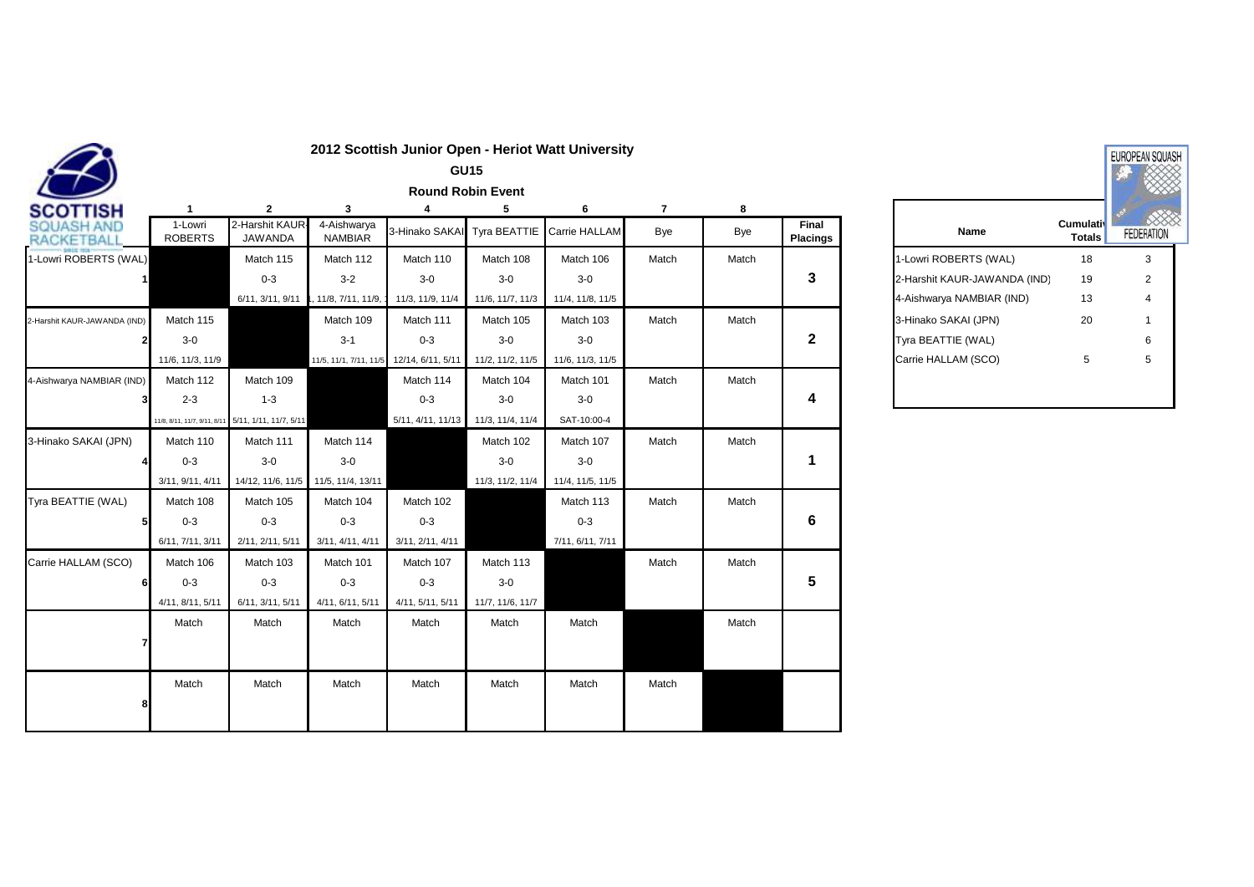|                                |                           |                                                     |                               |                   | <b>GU15</b>              |                            |                |       |                          |                              |                            |        |
|--------------------------------|---------------------------|-----------------------------------------------------|-------------------------------|-------------------|--------------------------|----------------------------|----------------|-------|--------------------------|------------------------------|----------------------------|--------|
|                                |                           |                                                     |                               |                   | <b>Round Robin Event</b> |                            |                |       |                          |                              |                            |        |
| <b>SCOTTISH</b>                |                           | $\mathbf{2}$                                        | 3                             |                   | 5                        | 6                          | $\overline{7}$ | 8     |                          |                              |                            |        |
| QUASH AND<br><b>RACKETBALL</b> | 1-Lowri<br><b>ROBERTS</b> | 2-Harshit KAUR<br>JAWANDA                           | 4-Aishwarya<br><b>NAMBIAR</b> | 3-Hinako SAKAI    |                          | Tyra BEATTIE Carrie HALLAM | Bye            | Bye   | Final<br><b>Placings</b> | Name                         | Cumulativ<br><b>Totals</b> | FEDER/ |
| 1-Lowri ROBERTS (WAL)          |                           | Match 115                                           | Match 112                     | Match 110         | Match 108                | Match 106                  | Match          | Match |                          | 1-Lowri ROBERTS (WAL)        | 18                         |        |
|                                |                           | $0 - 3$                                             | $3 - 2$                       | $3-0$             | $3-0$                    | $3-0$                      |                |       | 3                        | 2-Harshit KAUR-JAWANDA (IND) | 19                         |        |
|                                |                           | 6/11, 3/11, 9/11                                    | 11/8, 7/11, 11/9,             | 11/3, 11/9, 11/4  | 11/6, 11/7, 11/3         | 11/4, 11/8, 11/5           |                |       |                          | 4-Aishwarya NAMBIAR (IND)    | 13                         |        |
| 2-Harshit KAUR-JAWANDA (IND)   | Match 115                 |                                                     | Match 109                     | Match 111         | Match 105                | Match 103                  | Match          | Match |                          | 3-Hinako SAKAI (JPN)         | 20                         |        |
|                                | $3-0$                     |                                                     | $3 - 1$                       | $0 - 3$           | $3-0$                    | $3-0$                      |                |       | 2                        | Tyra BEATTIE (WAL)           |                            |        |
|                                | 11/6, 11/3, 11/9          |                                                     | 11/5, 11/1, 7/11, 11/5        | 12/14, 6/11, 5/11 | 11/2, 11/2, 11/5         | 11/6, 11/3, 11/5           |                |       |                          | Carrie HALLAM (SCO)          | 5                          |        |
| 4-Aishwarya NAMBIAR (IND)      | Match 112                 | Match 109                                           |                               | Match 114         | Match 104                | Match 101                  | Match          | Match |                          |                              |                            |        |
|                                | $2 - 3$                   | $1 - 3$                                             |                               | $0 - 3$           | $3-0$                    | $3-0$                      |                |       | 4                        |                              |                            |        |
|                                |                           | 11/8, 8/11, 11/7, 9/11, 8/11 5/11, 1/11, 11/7, 5/11 |                               | 5/11, 4/11, 11/13 | 11/3, 11/4, 11/4         | SAT-10:00-4                |                |       |                          |                              |                            |        |
| 3-Hinako SAKAI (JPN)           | Match 110                 | Match 111                                           | Match 114                     |                   | Match 102                | Match 107                  | Match          | Match |                          |                              |                            |        |
|                                | $0 - 3$                   | $3-0$                                               | $3-0$                         |                   | $3-0$                    | $3-0$                      |                |       | 1                        |                              |                            |        |
|                                | 3/11, 9/11, 4/11          | 14/12, 11/6, 11/5                                   | 11/5, 11/4, 13/11             |                   | 11/3, 11/2, 11/4         | 11/4, 11/5, 11/5           |                |       |                          |                              |                            |        |
| Tyra BEATTIE (WAL)             | Match 108                 | Match 105                                           | Match 104                     | Match 102         |                          | Match 113                  | Match          | Match |                          |                              |                            |        |
|                                | $0 - 3$                   | $0 - 3$                                             | $0 - 3$                       | $0 - 3$           |                          | $0 - 3$                    |                |       | 6                        |                              |                            |        |
|                                | 6/11, 7/11, 3/11          | 2/11, 2/11, 5/11                                    | 3/11, 4/11, 4/11              | 3/11, 2/11, 4/11  |                          | 7/11, 6/11, 7/11           |                |       |                          |                              |                            |        |
| Carrie HALLAM (SCO)            | Match 106                 | Match 103                                           | Match 101                     | Match 107         | Match 113                |                            | Match          | Match |                          |                              |                            |        |
|                                | $0 - 3$                   | $0 - 3$                                             | $0 - 3$                       | $0 - 3$           | $3-0$                    |                            |                |       | 5                        |                              |                            |        |
|                                | 4/11, 8/11, 5/11          | 6/11, 3/11, 5/11                                    | 4/11, 6/11, 5/11              | 4/11, 5/11, 5/11  | 11/7, 11/6, 11/7         |                            |                |       |                          |                              |                            |        |
|                                | Match                     | Match                                               | Match                         | Match             | Match                    | Match                      |                | Match |                          |                              |                            |        |
|                                |                           |                                                     |                               |                   |                          |                            |                |       |                          |                              |                            |        |
|                                |                           |                                                     |                               |                   |                          |                            |                |       |                          |                              |                            |        |
|                                | Match                     | Match                                               | Match                         | Match             | Match                    | Match                      | Match          |       |                          |                              |                            |        |
|                                |                           |                                                     |                               |                   |                          |                            |                |       |                          |                              |                            |        |
|                                |                           |                                                     |                               |                   |                          |                            |                |       |                          |                              |                            |        |

| <b>Cumulativ</b><br><b>Totals</b> | <b>FEDERATION</b> |
|-----------------------------------|-------------------|
| 18                                | 3                 |
| 19                                | 2                 |
| 13                                | 4                 |
| 20                                | 1                 |
|                                   | 6                 |
| 5                                 | 5                 |
| 2-Harshit KAUR-JAWANDA (IND)      |                   |

**2012 Scottish Junior Open - Heriot Watt University**